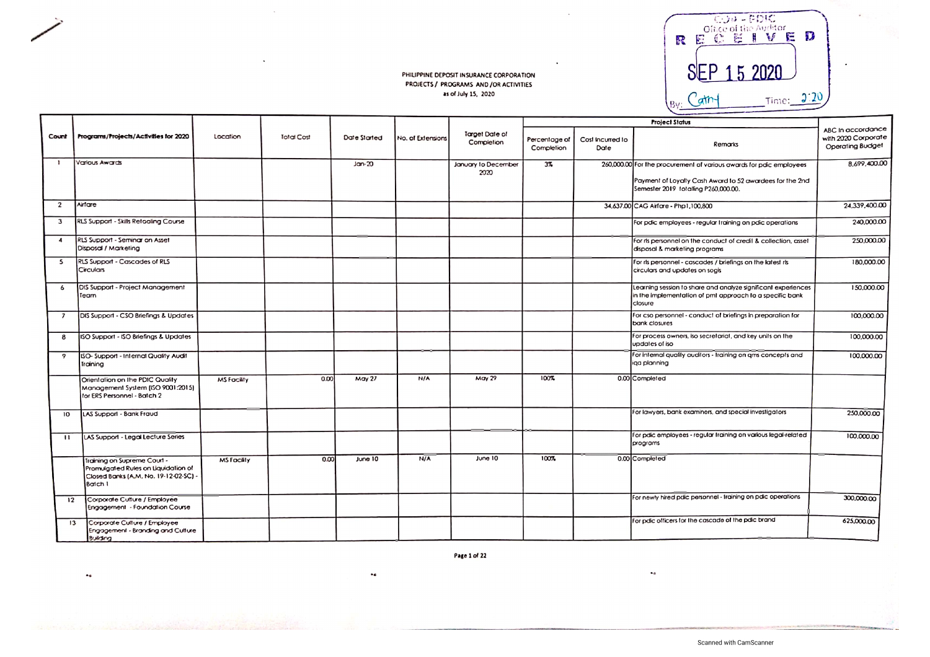

|                          |                                                                                                                        |                    |            |               |                   |                              |                             |                          | <b>Project Status</b>                                                                                                                |                                                              |
|--------------------------|------------------------------------------------------------------------------------------------------------------------|--------------------|------------|---------------|-------------------|------------------------------|-----------------------------|--------------------------|--------------------------------------------------------------------------------------------------------------------------------------|--------------------------------------------------------------|
| Count                    | Programs/Projects/Activities for 2020                                                                                  | Location           | Total Cost | Date Started  | No. of Extensions | Target Date of<br>Completion | Percentage of<br>Completion | Cost Incurred to<br>Date | Remarks                                                                                                                              | ABC In accordance<br>with 2020 Corporate<br>Operating Budget |
| - 1                      | <b>Various Awards</b>                                                                                                  |                    |            | $Jan-20$      |                   | January to December<br>2020  | $3\%$                       |                          | 260,000.00 For the procurement of various awards for paic employees                                                                  | 8.699,400.00                                                 |
|                          |                                                                                                                        |                    |            |               |                   |                              |                             |                          | Payment of Loyalty Cash Award to 52 awardees for the 2nd<br>Semester 2019 totalling P260,000.00.                                     |                                                              |
| $\overline{2}$           | Airfare                                                                                                                |                    |            |               |                   |                              |                             |                          | 34,637,00 CAG Airfore - Php1,100,800                                                                                                 | 24,339,400.00                                                |
| $\overline{\mathbf{3}}$  | RLS Support - Skills Retooling Course                                                                                  |                    |            |               |                   |                              |                             |                          | For pdic employees - regular training on pdic operations                                                                             | 240,000.00                                                   |
| 4                        | RLS Support - Seminar on Asset<br>Disposal / Marketing                                                                 |                    |            |               |                   |                              |                             |                          | For its personnel on the conduct of credit & collection, asset<br>disposal & marketing programs                                      | 250,000.00                                                   |
| 5                        | RLS Support - Cascades of RLS<br>Circulars                                                                             |                    |            |               |                   |                              |                             |                          | For rls personnel - cascades / briefings on the latest rls<br>circulars and updates on sogis                                         | 180,000.00                                                   |
| 6                        | DIS Support - Project Management<br>Team                                                                               |                    |            |               |                   |                              |                             |                          | Learning session to share and analyze significant experiences<br>in the implementation of pmt approach to a specific bank<br>closure | 150,000.00                                                   |
| $\overline{\phantom{a}}$ | DIS Support - CSO Briefings & Updates                                                                                  |                    |            |               |                   |                              |                             |                          | For cso personnel - conduct of briefings in preparation for<br>bank closures                                                         | 100,000.00                                                   |
| 8                        | ISO Support - ISO Briefings & Updates                                                                                  |                    |            |               |                   |                              |                             |                          | For process owners, iso secretarial, and key units on the<br>updates of iso                                                          | 100,000.00                                                   |
| 9                        | ISO-Support - Internal Quality Audit<br>Training                                                                       |                    |            |               |                   |                              |                             |                          | For internal quality auditors - training on ams concepts and<br>iga planning                                                         | 100,000.00                                                   |
|                          | Orientation on the PDIC Quality<br>Management System (ISO 9001:2015)<br>for ERS Personnel - Batch 2                    | <b>MS Facility</b> | 0.00       | <b>May 27</b> | N/A               | May 29                       | 100%                        |                          | 0.00 Completed                                                                                                                       |                                                              |
| 10                       | LAS Support - Bank Fraud                                                                                               |                    |            |               |                   |                              |                             |                          | For lawyers, bank examiners, and special investigators                                                                               | 250,000.00                                                   |
| $\mathbf{H}$             | LAS Support - Legal Lecture Series                                                                                     |                    |            |               |                   |                              |                             |                          | For pdic employees - regular training on various legal-related<br>programs                                                           | 100,000.00                                                   |
|                          | Training on Supreme Court -<br>Promulgated Rules on Liquidation of<br>Closed Banks (A.M. No. 19-12-02-SC) -<br>Batch I | <b>MS Facility</b> | 0.00       | June 10       | N/A               | June 10                      | 100%                        |                          | 0.00 Completed                                                                                                                       |                                                              |
| 12                       | Corporate Culture / Employee<br>Engagement - Foundation Course                                                         |                    |            |               |                   |                              |                             |                          | For newly hired pdic personnel - fraining on pdic operations                                                                         | 300,000.00                                                   |
| 13                       | Corporate Culture / Employee<br>Engagement - Branding and Culture<br>Publisher                                         |                    |            |               |                   |                              |                             |                          | For pdic officers for the cascade of the pdic brand                                                                                  | 625,000.00                                                   |

Page 1 of 22

 $\bullet$   $\bullet$ 

 $\bullet\bullet$ 

 $\bullet$ a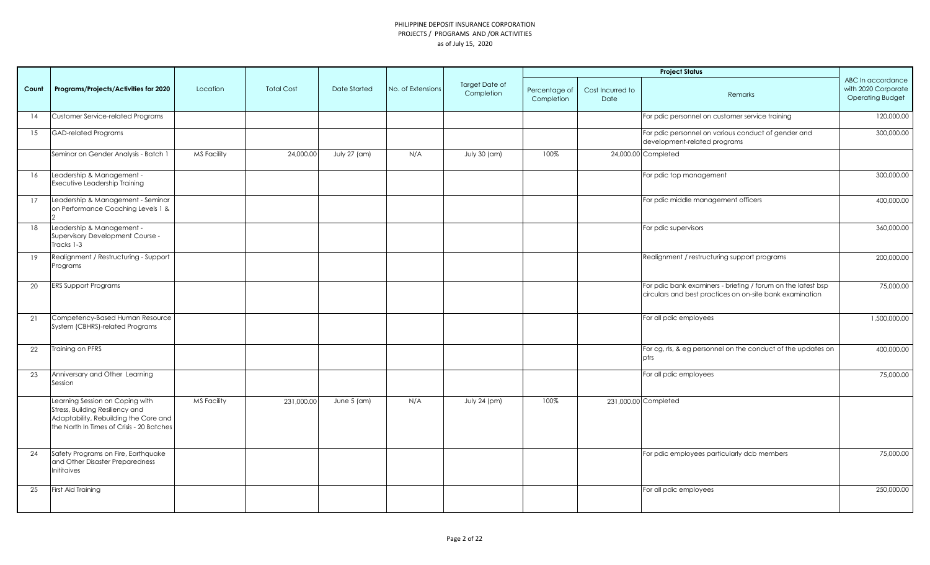|       |                                                                                                                                                          |                    |                   |                     |                   |                              |                             |                          | <b>Project Status</b>                                                                                                    |                                                                     |
|-------|----------------------------------------------------------------------------------------------------------------------------------------------------------|--------------------|-------------------|---------------------|-------------------|------------------------------|-----------------------------|--------------------------|--------------------------------------------------------------------------------------------------------------------------|---------------------------------------------------------------------|
| Count | Programs/Projects/Activities for 2020                                                                                                                    | Location           | <b>Total Cost</b> | <b>Date Started</b> | No. of Extensions | Target Date of<br>Completion | Percentage of<br>Completion | Cost Incurred to<br>Date | Remarks                                                                                                                  | ABC In accordance<br>with 2020 Corporate<br><b>Operating Budget</b> |
| 14    | Customer Service-related Programs                                                                                                                        |                    |                   |                     |                   |                              |                             |                          | For pdic personnel on customer service training                                                                          | 120,000.00                                                          |
| 15    | <b>GAD-related Programs</b>                                                                                                                              |                    |                   |                     |                   |                              |                             |                          | For pdic personnel on various conduct of gender and<br>development-related programs                                      | 300,000.00                                                          |
|       | Seminar on Gender Analysis - Batch 1                                                                                                                     | MS Facility        | 24,000.00         | July 27 (am)        | N/A               | July 30 (am)                 | 100%                        |                          | 24,000.00 Completed                                                                                                      |                                                                     |
| 16    | Leadership & Management -<br>Executive Leadership Training                                                                                               |                    |                   |                     |                   |                              |                             |                          | For pdic top management                                                                                                  | 300,000.00                                                          |
| 17    | Leadership & Management - Seminar<br>on Performance Coaching Levels 1 &                                                                                  |                    |                   |                     |                   |                              |                             |                          | For pdic middle management officers                                                                                      | 400,000.00                                                          |
| 18    | Leadership & Management -<br>Supervisory Development Course -<br>Tracks 1-3                                                                              |                    |                   |                     |                   |                              |                             |                          | For pdic supervisors                                                                                                     | 360,000.00                                                          |
| 19    | Realignment / Restructuring - Support<br>Programs                                                                                                        |                    |                   |                     |                   |                              |                             |                          | Realignment / restructuring support programs                                                                             | 200,000.00                                                          |
| 20    | <b>ERS Support Programs</b>                                                                                                                              |                    |                   |                     |                   |                              |                             |                          | For pdic bank examiners - briefing / forum on the latest bsp<br>circulars and best practices on on-site bank examination | 75,000.00                                                           |
| 21    | Competency-Based Human Resource<br>System (CBHRS)-related Programs                                                                                       |                    |                   |                     |                   |                              |                             |                          | For all pdic employees                                                                                                   | 1,500,000.00                                                        |
| 22    | Training on PFRS                                                                                                                                         |                    |                   |                     |                   |                              |                             |                          | For cg, rls, & eg personnel on the conduct of the updates on<br>pfrs                                                     | 400,000.00                                                          |
| 23    | Anniversary and Other Learning<br>Session                                                                                                                |                    |                   |                     |                   |                              |                             |                          | For all pdic employees                                                                                                   | 75,000.00                                                           |
|       | Learning Session on Coping with<br>Stress, Building Resiliency and<br>Adaptability, Rebuilding the Core and<br>the North In Times of Crisis - 20 Batches | <b>MS Facility</b> | 231,000.00        | June $5$ (am)       | N/A               | July 24 (pm)                 | 100%                        |                          | 231,000.00 Completed                                                                                                     |                                                                     |
| 24    | Safety Programs on Fire, Earthquake<br>and Other Disaster Preparedness<br>Inititaives                                                                    |                    |                   |                     |                   |                              |                             |                          | For pdic employees particularly dcb members                                                                              | 75,000.00                                                           |
| 25    | First Aid Training                                                                                                                                       |                    |                   |                     |                   |                              |                             |                          | For all pdic employees                                                                                                   | 250,000.00                                                          |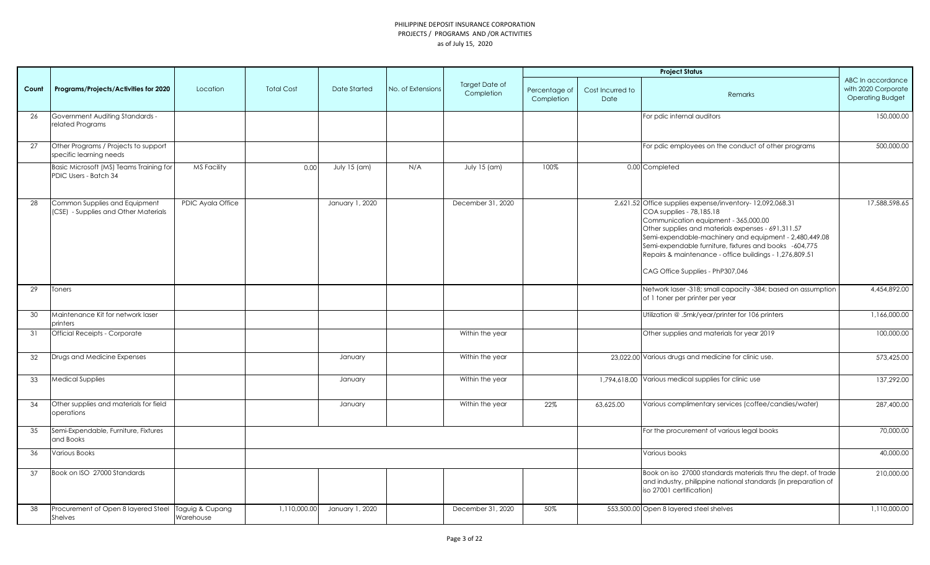|       |                                                                       |                              |                   |                     |                   |                              |                             |                          | <b>Project Status</b>                                                                                                                                                                                                                                                                                                                                                                                 |                                                                     |
|-------|-----------------------------------------------------------------------|------------------------------|-------------------|---------------------|-------------------|------------------------------|-----------------------------|--------------------------|-------------------------------------------------------------------------------------------------------------------------------------------------------------------------------------------------------------------------------------------------------------------------------------------------------------------------------------------------------------------------------------------------------|---------------------------------------------------------------------|
| Count | Programs/Projects/Activities for 2020                                 | Location                     | <b>Total Cost</b> | <b>Date Started</b> | No. of Extensions | Target Date of<br>Completion | Percentage of<br>Completion | Cost Incurred to<br>Date | Remarks                                                                                                                                                                                                                                                                                                                                                                                               | ABC In accordance<br>with 2020 Corporate<br><b>Operating Budget</b> |
| 26    | Government Auditing Standards -<br>related Programs                   |                              |                   |                     |                   |                              |                             |                          | For pdic internal auditors                                                                                                                                                                                                                                                                                                                                                                            | 150,000.00                                                          |
| 27    | Other Programs / Projects to support<br>specific learning needs       |                              |                   |                     |                   |                              |                             |                          | For pdic employees on the conduct of other programs                                                                                                                                                                                                                                                                                                                                                   | 500,000.00                                                          |
|       | Basic Microsoft (MS) Teams Training for<br>PDIC Users - Batch 34      | <b>MS Facility</b>           | 0.00              | July $15$ (am)      | N/A               | July 15 (am)                 | 100%                        |                          | 0.00 Completed                                                                                                                                                                                                                                                                                                                                                                                        |                                                                     |
| 28    | Common Supplies and Equipment<br>(CSE) - Supplies and Other Materials | PDIC Ayala Office            |                   | January 1, 2020     |                   | December 31, 2020            |                             |                          | 2,621.52 Office supplies expense/inventory-12,092,068.31<br>COA supplies - 78,185.18<br>Communication equipment - 365,000.00<br>Other supplies and materials expenses - 691,311.57<br>Semi-expendable-machinery and equipment - 2,480,449.08<br>Semi-expendable furniture, fixtures and books -604,775<br>Repairs & maintenance - office buildings - 1,276,809.51<br>CAG Office Supplies - PhP307,046 | 17,588,598.65                                                       |
| 29    | Toners                                                                |                              |                   |                     |                   |                              |                             |                          | Network laser -318; small capacity -384; based on assumption<br>of 1 toner per printer per year                                                                                                                                                                                                                                                                                                       | 4,454,892.00                                                        |
| 30    | Maintenance Kit for network laser<br>printers                         |                              |                   |                     |                   |                              |                             |                          | Utilization @ .5mk/year/printer for 106 printers                                                                                                                                                                                                                                                                                                                                                      | 1,166,000.00                                                        |
| 31    | Official Receipts - Corporate                                         |                              |                   |                     |                   | Within the year              |                             |                          | Other supplies and materials for year 2019                                                                                                                                                                                                                                                                                                                                                            | 100,000.00                                                          |
| 32    | Drugs and Medicine Expenses                                           |                              |                   | January             |                   | Within the year              |                             |                          | 23,022.00 Various drugs and medicine for clinic use.                                                                                                                                                                                                                                                                                                                                                  | 573,425.00                                                          |
| 33    | Medical Supplies                                                      |                              |                   | January             |                   | Within the year              |                             |                          | 1,794,618.00 Various medical supplies for clinic use                                                                                                                                                                                                                                                                                                                                                  | 137,292.00                                                          |
| 34    | Other supplies and materials for field<br>operations                  |                              |                   | January             |                   | Within the year              | 22%                         | 63,625.00                | Various complimentary services (coffee/candies/water)                                                                                                                                                                                                                                                                                                                                                 | 287,400.00                                                          |
| 35    | Semi-Expendable, Furniture, Fixtures<br>and Books                     |                              |                   |                     |                   |                              |                             |                          | For the procurement of various legal books                                                                                                                                                                                                                                                                                                                                                            | 70,000.00                                                           |
| 36    | Various Books                                                         |                              |                   |                     |                   |                              |                             |                          | Various books                                                                                                                                                                                                                                                                                                                                                                                         | 40,000.00                                                           |
| 37    | Book on ISO 27000 Standards                                           |                              |                   |                     |                   |                              |                             |                          | Book on iso 27000 standards materials thru the dept. of trade<br>and industry, philippine national standards (in preparation of<br>iso 27001 certification)                                                                                                                                                                                                                                           | 210,000.00                                                          |
| 38    | Procurement of Open 8 layered Steel<br>Shelves                        | Taguig & Cupang<br>Warehouse | 1,110,000.00      | January 1, 2020     |                   | December 31, 2020            | 50%                         |                          | 553,500.00 Open 8 layered steel shelves                                                                                                                                                                                                                                                                                                                                                               | 1,110,000.00                                                        |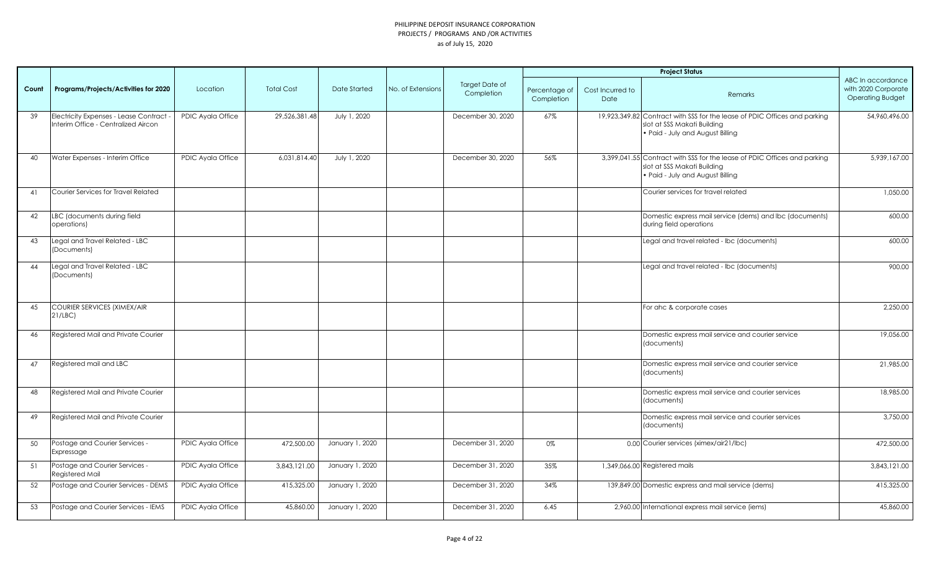|       |                                                                                |                          |                   |                 |                   |                              |                             |                          | <b>Project Status</b>                                                                                                                        |                                                                     |
|-------|--------------------------------------------------------------------------------|--------------------------|-------------------|-----------------|-------------------|------------------------------|-----------------------------|--------------------------|----------------------------------------------------------------------------------------------------------------------------------------------|---------------------------------------------------------------------|
| Count | Programs/Projects/Activities for 2020                                          | Location                 | <b>Total Cost</b> | Date Started    | No. of Extensions | Target Date of<br>Completion | Percentage of<br>Completion | Cost Incurred to<br>Date | Remarks                                                                                                                                      | ABC In accordance<br>with 2020 Corporate<br><b>Operating Budget</b> |
| 39    | Electricity Expenses - Lease Contract -<br>Interim Office - Centralized Aircon | PDIC Ayala Office        | 29,526,381.48     | July 1, 2020    |                   | December 30, 2020            | 67%                         |                          | 19,923,349.82 Contract with SSS for the lease of PDIC Offices and parking<br>slot at SSS Makati Building<br>. Paid - July and August Billing | 54,960,496.00                                                       |
| 40    | Water Expenses - Interim Office                                                | PDIC Ayala Office        | 6,031,814.40      | July 1, 2020    |                   | December 30, 2020            | 56%                         |                          | 3,399,041.55 Contract with SSS for the lease of PDIC Offices and parking<br>slot at SSS Makati Building<br>. Paid - July and August Billing  | 5,939,167.00                                                        |
| 41    | Courier Services for Travel Related                                            |                          |                   |                 |                   |                              |                             |                          | Courier services for travel related                                                                                                          | 1,050.00                                                            |
| 42    | LBC (documents during field<br>operations)                                     |                          |                   |                 |                   |                              |                             |                          | Domestic express mail service (dems) and lbc (documents)<br>during field operations                                                          | 600.00                                                              |
| 43    | Legal and Travel Related - LBC<br>(Documents)                                  |                          |                   |                 |                   |                              |                             |                          | Legal and travel related - Ibc (documents)                                                                                                   | 600.00                                                              |
| 44    | Legal and Travel Related - LBC<br>(Documents)                                  |                          |                   |                 |                   |                              |                             |                          | Legal and travel related - Ibc (documents)                                                                                                   | 900.00                                                              |
| 45    | <b>COURIER SERVICES (XIMEX/AIR</b><br>21/LEC                                   |                          |                   |                 |                   |                              |                             |                          | For ahc & corporate cases                                                                                                                    | 2,250.00                                                            |
| 46    | Registered Mail and Private Courier                                            |                          |                   |                 |                   |                              |                             |                          | Domestic express mail service and courier service<br>(documents)                                                                             | 19,056.00                                                           |
| 47    | Registered mail and LBC                                                        |                          |                   |                 |                   |                              |                             |                          | Domestic express mail service and courier service<br>(documents)                                                                             | 21,985.00                                                           |
| 48    | Registered Mail and Private Courier                                            |                          |                   |                 |                   |                              |                             |                          | Domestic express mail service and courier services<br>(documents)                                                                            | 18,985.00                                                           |
| 49    | Registered Mail and Private Courier                                            |                          |                   |                 |                   |                              |                             |                          | Domestic express mail service and courier services<br>(documents)                                                                            | 3,750.00                                                            |
| 50    | Postage and Courier Services -<br>Expressage                                   | PDIC Ayala Office        | 472,500.00        | January 1, 2020 |                   | December 31, 2020            | 0%                          |                          | 0.00 Courier services (ximex/air21/lbc)                                                                                                      | 472,500.00                                                          |
| 51    | Postage and Courier Services -<br>Registered Mail                              | <b>PDIC Ayala Office</b> | 3,843,121.00      | January 1, 2020 |                   | December 31, 2020            | 35%                         |                          | 1,349,066.00 Registered mails                                                                                                                | 3.843.121.00                                                        |
| 52    | Postage and Courier Services - DEMS                                            | PDIC Ayala Office        | 415,325.00        | January 1, 2020 |                   | December 31, 2020            | 34%                         |                          | 139,849.00 Domestic express and mail service (dems)                                                                                          | 415,325.00                                                          |
| 53    | Postage and Courier Services - IEMS                                            | PDIC Ayala Office        | 45,860.00         | January 1, 2020 |                   | December 31, 2020            | 6.45                        |                          | 2,960.00 International express mail service (iems)                                                                                           | 45,860,00                                                           |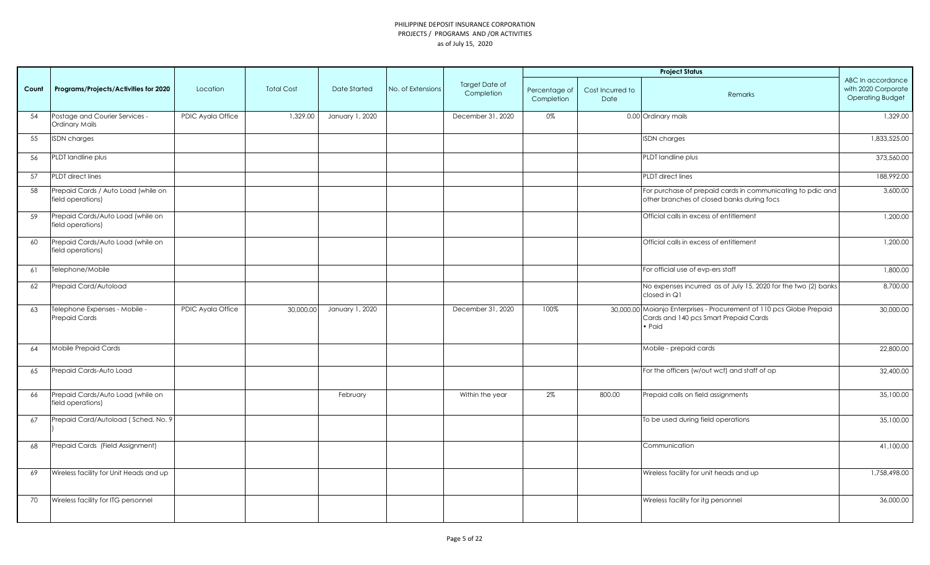|       |                                                          |                   |                   |                     |                   |                                     |                             |                          | <b>Project Status</b>                                                                                                   |                                                                     |
|-------|----------------------------------------------------------|-------------------|-------------------|---------------------|-------------------|-------------------------------------|-----------------------------|--------------------------|-------------------------------------------------------------------------------------------------------------------------|---------------------------------------------------------------------|
| Count | Programs/Projects/Activities for 2020                    | Location          | <b>Total Cost</b> | <b>Date Started</b> | No. of Extensions | <b>Target Date of</b><br>Completion | Percentage of<br>Completion | Cost Incurred to<br>Date | Remarks                                                                                                                 | ABC In accordance<br>with 2020 Corporate<br><b>Operating Budget</b> |
| 54    | Postage and Courier Services -<br>Ordinary Mails         | PDIC Ayala Office | 1,329.00          | January 1, 2020     |                   | December 31, 2020                   | 0%                          |                          | 0.00 Ordinary mails                                                                                                     | 1,329.00                                                            |
| 55    | <b>ISDN</b> charges                                      |                   |                   |                     |                   |                                     |                             |                          | <b>ISDN</b> charges                                                                                                     | 1,833,525.00                                                        |
| 56    | PLDT landline plus                                       |                   |                   |                     |                   |                                     |                             |                          | PLDT landline plus                                                                                                      | 373,560.00                                                          |
| 57    | PLDT direct lines                                        |                   |                   |                     |                   |                                     |                             |                          | <b>PLDT</b> direct lines                                                                                                | 188,992.00                                                          |
| 58    | Prepaid Cards / Auto Load (while on<br>field operations) |                   |                   |                     |                   |                                     |                             |                          | For purchase of prepaid cards in communicating to pdic and<br>other branches of closed banks during focs                | 3,600.00                                                            |
| 59    | Prepaid Cards/Auto Load (while on<br>field operations)   |                   |                   |                     |                   |                                     |                             |                          | Official calls in excess of entitlement                                                                                 | 1,200.00                                                            |
| 60    | Prepaid Cards/Auto Load (while on<br>field operations)   |                   |                   |                     |                   |                                     |                             |                          | Official calls in excess of entitlement                                                                                 | 1,200.00                                                            |
| 61    | Telephone/Mobile                                         |                   |                   |                     |                   |                                     |                             |                          | For official use of evp-ers staff                                                                                       | 1,800.00                                                            |
| 62    | Prepaid Card/Autoload                                    |                   |                   |                     |                   |                                     |                             |                          | No expenses incurred as of July 15, 2020 for the two (2) banks<br>closed in Q1                                          | 8,700.00                                                            |
| 63    | Telephone Expenses - Mobile -<br>Prepaid Cards           | PDIC Ayala Office | 30,000.00         | January 1, 2020     |                   | December 31, 2020                   | 100%                        |                          | 30,000.00 Moianjo Enterprises - Procurement of 110 pcs Globe Prepaid<br>Cards and 140 pcs Smart Prepaid Cards<br>• Paid | 30,000.00                                                           |
| 64    | Mobile Prepaid Cards                                     |                   |                   |                     |                   |                                     |                             |                          | Mobile - prepaid cards                                                                                                  | 22,800.00                                                           |
| 65    | Prepaid Cards-Auto Load                                  |                   |                   |                     |                   |                                     |                             |                          | For the officers (w/out wcf) and staff of op                                                                            | 32,400.00                                                           |
| 66    | Prepaid Cards/Auto Load (while on<br>field operations)   |                   |                   | February            |                   | Within the year                     | 2%                          | 800.00                   | Prepaid calls on field assignments                                                                                      | 35,100.00                                                           |
| 67    | Prepaid Card/Autoload (Sched. No. 9                      |                   |                   |                     |                   |                                     |                             |                          | To be used during field operations                                                                                      | 35,100.00                                                           |
| 68    | Prepaid Cards (Field Assignment)                         |                   |                   |                     |                   |                                     |                             |                          | Communication                                                                                                           | 41,100.00                                                           |
| 69    | Wireless facility for Unit Heads and up                  |                   |                   |                     |                   |                                     |                             |                          | Wireless facility for unit heads and up                                                                                 | 1,758,498.00                                                        |
| 70    | Wireless facility for ITG personnel                      |                   |                   |                     |                   |                                     |                             |                          | Wireless facility for itg personnel                                                                                     | 36,000.00                                                           |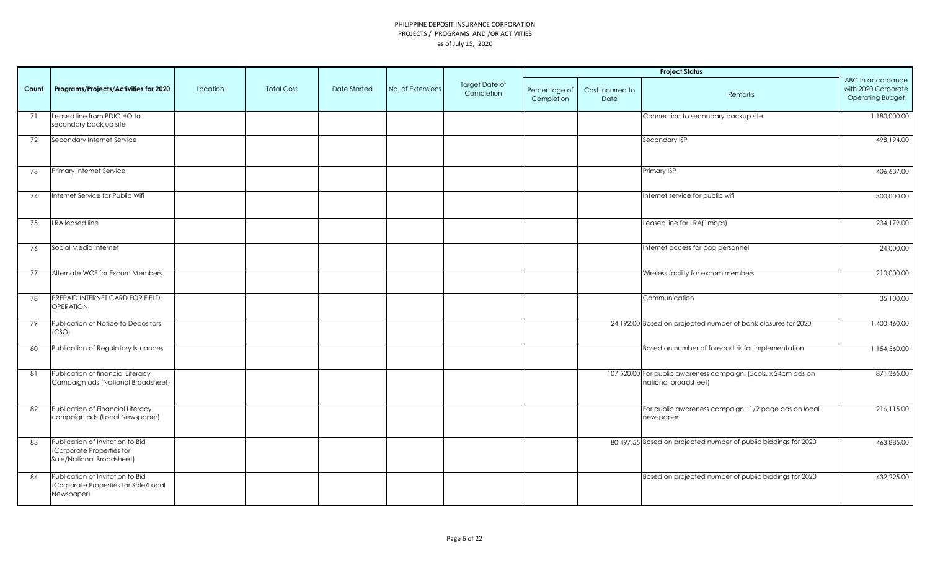|       |                                                                                            |          |                   |                     |                   |                              |                             |                          | <b>Project Status</b>                                                                   |                                                                     |
|-------|--------------------------------------------------------------------------------------------|----------|-------------------|---------------------|-------------------|------------------------------|-----------------------------|--------------------------|-----------------------------------------------------------------------------------------|---------------------------------------------------------------------|
| Count | Programs/Projects/Activities for 2020                                                      | Location | <b>Total Cost</b> | <b>Date Started</b> | No. of Extensions | Target Date of<br>Completion | Percentage of<br>Completion | Cost Incurred to<br>Date | Remarks                                                                                 | ABC In accordance<br>with 2020 Corporate<br><b>Operating Budget</b> |
| 71    | Leased line from PDIC HO to<br>secondary back up site                                      |          |                   |                     |                   |                              |                             |                          | Connection to secondary backup site                                                     | 1,180,000.00                                                        |
| 72    | Secondary Internet Service                                                                 |          |                   |                     |                   |                              |                             |                          | Secondary ISP                                                                           | 498,194.00                                                          |
| 73    | Primary Internet Service                                                                   |          |                   |                     |                   |                              |                             |                          | Primary ISP                                                                             | 406,637.00                                                          |
| 74    | Internet Service for Public Wifi                                                           |          |                   |                     |                   |                              |                             |                          | Internet service for public wifi                                                        | 300,000.00                                                          |
| 75    | LRA leased line                                                                            |          |                   |                     |                   |                              |                             |                          | Leased line for LRA(1mbps)                                                              | 234,179.00                                                          |
| 76    | Social Media Internet                                                                      |          |                   |                     |                   |                              |                             |                          | Internet access for cag personnel                                                       | 24,000.00                                                           |
| 77    | Alternate WCF for Excom Members                                                            |          |                   |                     |                   |                              |                             |                          | Wireless facility for excom members                                                     | 210,000.00                                                          |
| 78    | PREPAID INTERNET CARD FOR FIELD<br><b>OPERATION</b>                                        |          |                   |                     |                   |                              |                             |                          | Communication                                                                           | 35,100.00                                                           |
| 79    | Publication of Notice to Depositors<br>(CSO)                                               |          |                   |                     |                   |                              |                             |                          | 24,192.00 Based on projected number of bank closures for 2020                           | 1,400,460.00                                                        |
| 80    | Publication of Regulatory Issuances                                                        |          |                   |                     |                   |                              |                             |                          | Based on number of forecast ris for implementation                                      | 1,154,560.00                                                        |
| 81    | Publication of financial Literacy<br>Campaign ads (National Broadsheet)                    |          |                   |                     |                   |                              |                             |                          | 107,520.00 For public awareness campaign: (5cols. x 24cm ads on<br>national broadsheet) | 871,365.00                                                          |
| 82    | Publication of Financial Literacy<br>campaign ads (Local Newspaper)                        |          |                   |                     |                   |                              |                             |                          | For public awareness campaign: 1/2 page ads on local<br>newspaper                       | 216,115.00                                                          |
| 83    | Publication of Invitation to Bid<br>(Corporate Properties for<br>Sale/National Broadsheet) |          |                   |                     |                   |                              |                             |                          | 80,497.55 Based on projected number of public biddings for 2020                         | 463,885.00                                                          |
| 84    | Publication of Invitation to Bid<br>(Corporate Properties for Sale/Local<br>Newspaper)     |          |                   |                     |                   |                              |                             |                          | Based on projected number of public biddings for 2020                                   | 432,225.00                                                          |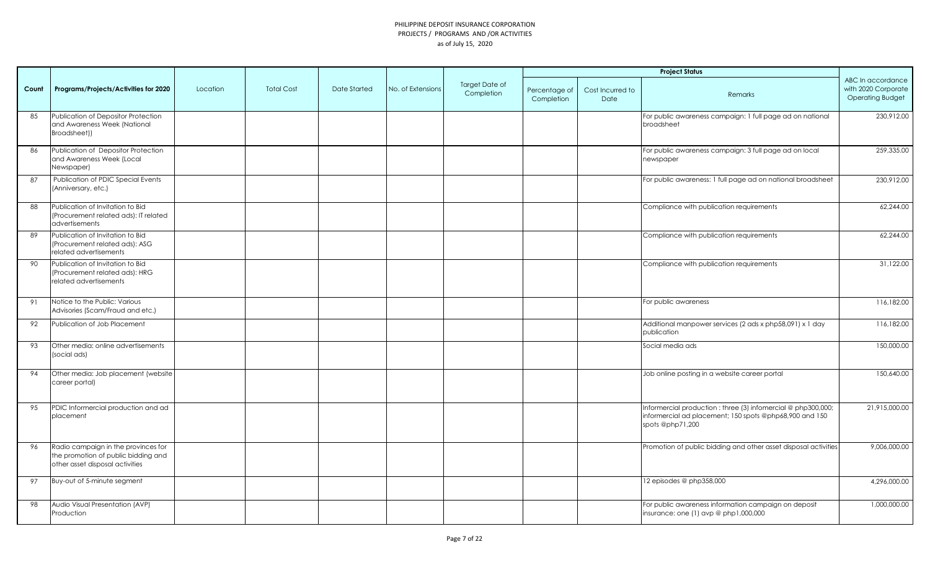|       |                                                                                                               |          |                   |                     |                   |                                     |                             |                                 | <b>Project Status</b>                                                                                                                         |                                                                     |
|-------|---------------------------------------------------------------------------------------------------------------|----------|-------------------|---------------------|-------------------|-------------------------------------|-----------------------------|---------------------------------|-----------------------------------------------------------------------------------------------------------------------------------------------|---------------------------------------------------------------------|
| Count | Programs/Projects/Activities for 2020                                                                         | Location | <b>Total Cost</b> | <b>Date Started</b> | No. of Extensions | <b>Target Date of</b><br>Completion | Percentage of<br>Completion | Cost Incurred to<br><b>Date</b> | Remarks                                                                                                                                       | ABC In accordance<br>with 2020 Corporate<br><b>Operating Budget</b> |
| 85    | Publication of Depositor Protection<br>and Awareness Week (National<br>Broadsheet))                           |          |                   |                     |                   |                                     |                             |                                 | For public awareness campaign: 1 full page ad on national<br>broadsheet                                                                       | 230,912.00                                                          |
| 86    | Publication of Depositor Protection<br>and Awareness Week (Local<br>Newspaper)                                |          |                   |                     |                   |                                     |                             |                                 | For public awareness campaign: 3 full page ad on local<br>newspaper                                                                           | 259,335.00                                                          |
| 87    | Publication of PDIC Special Events<br>(Anniversary, etc.)                                                     |          |                   |                     |                   |                                     |                             |                                 | For public awareness: 1 full page ad on national broadsheet                                                                                   | 230,912.00                                                          |
| 88    | Publication of Invitation to Bid<br>(Procurement related ads): IT related<br>advertisements                   |          |                   |                     |                   |                                     |                             |                                 | Compliance with publication requirements                                                                                                      | 62,244.00                                                           |
| 89    | Publication of Invitation to Bid<br>(Procurement related ads): ASG<br>related advertisements                  |          |                   |                     |                   |                                     |                             |                                 | Compliance with publication requirements                                                                                                      | 62,244.00                                                           |
| 90    | Publication of Invitation to Bid<br>(Procurement related ads): HRG<br>related advertisements                  |          |                   |                     |                   |                                     |                             |                                 | Compliance with publication requirements                                                                                                      | 31,122.00                                                           |
| 91    | Notice to the Public: Various<br>Advisories (Scam/Fraud and etc.)                                             |          |                   |                     |                   |                                     |                             |                                 | For public awareness                                                                                                                          | 116,182.00                                                          |
| 92    | Publication of Job Placement                                                                                  |          |                   |                     |                   |                                     |                             |                                 | Additional manpower services (2 ads x php58,091) x 1 day<br>publication                                                                       | 116,182.00                                                          |
| 93    | Other media: online advertisements<br>(social ads)                                                            |          |                   |                     |                   |                                     |                             |                                 | Social media ads                                                                                                                              | 150,000.00                                                          |
| 94    | Other media: Job placement (website<br>career portal)                                                         |          |                   |                     |                   |                                     |                             |                                 | Job online posting in a website career portal                                                                                                 | 150,640.00                                                          |
| 95    | PDIC Informercial production and ad<br>placement                                                              |          |                   |                     |                   |                                     |                             |                                 | Informercial production : three (3) informercial @ php300,000;<br>informercial ad placement; 150 spots @php68,900 and 150<br>spots @php71,200 | 21,915,000.00                                                       |
| 96    | Radio campaign in the provinces for<br>the promotion of public bidding and<br>other asset disposal activities |          |                   |                     |                   |                                     |                             |                                 | Promotion of public bidding and other asset disposal activities                                                                               | 9,006,000.00                                                        |
| 97    | Buy-out of 5-minute segment                                                                                   |          |                   |                     |                   |                                     |                             |                                 | 12 episodes @ php358,000                                                                                                                      | 4,296,000.00                                                        |
| 98    | Audio Visual Presentation (AVP)<br>Production                                                                 |          |                   |                     |                   |                                     |                             |                                 | For public awareness information campaign on deposit<br>insurance: one (1) avp @ php1,000,000                                                 | 1,000,000.00                                                        |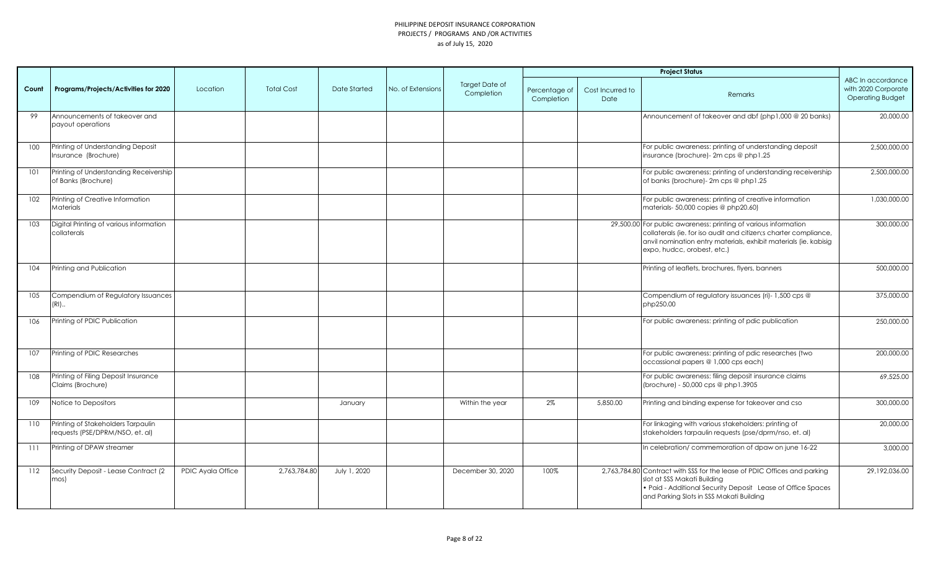|       |                                                                       |                   |                   |              |                   |                              |                             |                                 | <b>Project Status</b>                                                                                                                                                                                                                  |                                                                     |
|-------|-----------------------------------------------------------------------|-------------------|-------------------|--------------|-------------------|------------------------------|-----------------------------|---------------------------------|----------------------------------------------------------------------------------------------------------------------------------------------------------------------------------------------------------------------------------------|---------------------------------------------------------------------|
| Count | Programs/Projects/Activities for 2020                                 | Location          | <b>Total Cost</b> | Date Started | No. of Extensions | Target Date of<br>Completion | Percentage of<br>Completion | Cost Incurred to<br><b>Date</b> | Remarks                                                                                                                                                                                                                                | ABC In accordance<br>with 2020 Corporate<br><b>Operating Budget</b> |
| 99    | Announcements of takeover and<br>payout operations                    |                   |                   |              |                   |                              |                             |                                 | Announcement of takeover and dbf (php1,000 @ 20 banks)                                                                                                                                                                                 | 20,000.00                                                           |
| 100   | Printing of Understanding Deposit<br>Insurance (Brochure)             |                   |                   |              |                   |                              |                             |                                 | For public awareness: printing of understanding deposit<br>insurance (brochure)- 2m cps @ php1.25                                                                                                                                      | 2,500,000.00                                                        |
| 101   | Printing of Understanding Receivership<br>of Banks (Brochure)         |                   |                   |              |                   |                              |                             |                                 | For public awareness: printing of understanding receivership<br>of banks (brochure)- 2m cps @ php1.25                                                                                                                                  | 2,500,000.00                                                        |
| 102   | Printing of Creative Information<br>Materials                         |                   |                   |              |                   |                              |                             |                                 | For public awareness: printing of creative information<br>materials- 50,000 copies @ php20.60)                                                                                                                                         | 1,030,000.00                                                        |
| 103   | Digital Printing of various information<br>collaterals                |                   |                   |              |                   |                              |                             |                                 | 29,500.00 For public awareness: printing of various information<br>collaterals (ie. for iso audit and citizen;s charter compliance,<br>anvil nomination entry materials, exhibit materials (ie. kabisig<br>expo, hudcc, orobest, etc.) | 300,000.00                                                          |
| 104   | Printing and Publication                                              |                   |                   |              |                   |                              |                             |                                 | Printing of leaflets, brochures, flyers, banners                                                                                                                                                                                       | 500,000.00                                                          |
| 105   | Compendium of Regulatory Issuances<br>$(RI)$                          |                   |                   |              |                   |                              |                             |                                 | Compendium of regulatory issuances (ri)- 1,500 cps @<br>php250.00                                                                                                                                                                      | 375,000.00                                                          |
| 106   | Printing of PDIC Publication                                          |                   |                   |              |                   |                              |                             |                                 | For public awareness: printing of pdic publication                                                                                                                                                                                     | 250,000.00                                                          |
| 107   | Printing of PDIC Researches                                           |                   |                   |              |                   |                              |                             |                                 | For public awareness: printing of pdic researches (two<br>occassional papers @ 1,000 cps each)                                                                                                                                         | 200,000.00                                                          |
| 108   | Printing of Filing Deposit Insurance<br>Claims (Brochure)             |                   |                   |              |                   |                              |                             |                                 | For public awareness: filing deposit insurance claims<br>(brochure) - 50,000 cps @ php1.3905                                                                                                                                           | 69,525.00                                                           |
| 109   | Notice to Depositors                                                  |                   |                   | January      |                   | Within the year              | 2%                          | 5,850.00                        | Printing and binding expense for takeover and cso                                                                                                                                                                                      | 300,000.00                                                          |
| 110   | Printing of Stakeholders Tarpaulin<br>requests (PSE/DPRM/NSO, et. al) |                   |                   |              |                   |                              |                             |                                 | For linkaging with various stakeholders: printing of<br>stakeholders tarpaulin requests (pse/dprm/nso, et. al)                                                                                                                         | 20,000.00                                                           |
| 111   | Printing of DPAW streamer                                             |                   |                   |              |                   |                              |                             |                                 | In celebration/ commemoration of dpaw on june 16-22                                                                                                                                                                                    | 3,000.00                                                            |
| 112   | Security Deposit - Lease Contract (2<br>mos)                          | PDIC Ayala Office | 2,763,784.80      | July 1, 2020 |                   | December 30, 2020            | 100%                        |                                 | 2,763,784.80 Contract with SSS for the lease of PDIC Offices and parking<br>slot at SSS Makati Building<br>• Paid - Additional Security Deposit Lease of Office Spaces<br>and Parking Slots in SSS Makati Building                     | 29,192,036.00                                                       |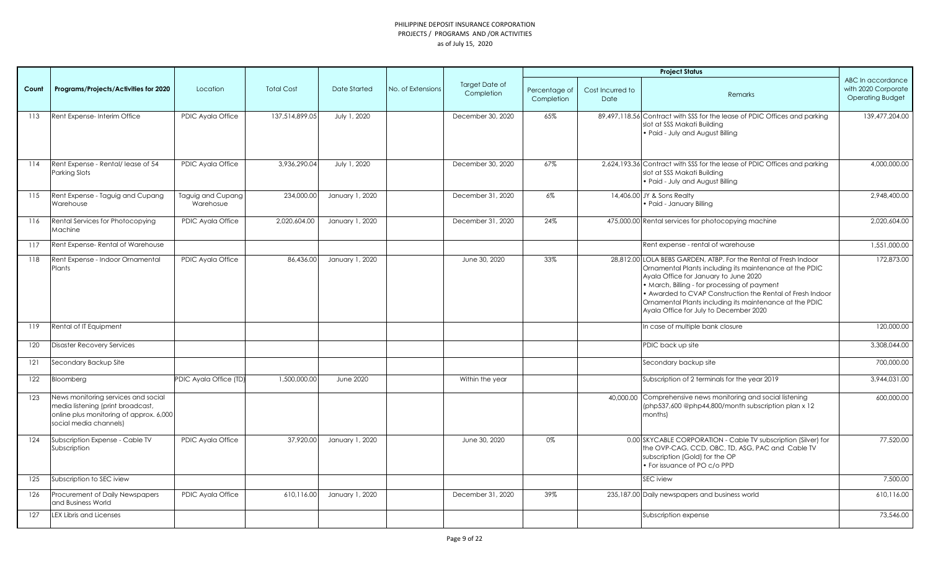|       |                                                                                                                                               |                                |                   |                     |                   |                                     |                             |                          | <b>Project Status</b>                                                                                                                                                                                                                                                                                                                                                                  |                                                                     |
|-------|-----------------------------------------------------------------------------------------------------------------------------------------------|--------------------------------|-------------------|---------------------|-------------------|-------------------------------------|-----------------------------|--------------------------|----------------------------------------------------------------------------------------------------------------------------------------------------------------------------------------------------------------------------------------------------------------------------------------------------------------------------------------------------------------------------------------|---------------------------------------------------------------------|
| Count | Programs/Projects/Activities for 2020                                                                                                         | Location                       | <b>Total Cost</b> | <b>Date Started</b> | No. of Extensions | <b>Target Date of</b><br>Completion | Percentage of<br>Completion | Cost Incurred to<br>Date | Remarks                                                                                                                                                                                                                                                                                                                                                                                | ABC In accordance<br>with 2020 Corporate<br><b>Operating Budget</b> |
| 113   | Rent Expense-Interim Office                                                                                                                   | <b>PDIC Ayala Office</b>       | 137,514,899.05    | July 1, 2020        |                   | December 30, 2020                   | 65%                         |                          | 89,497,118.56 Contract with SSS for the lease of PDIC Offices and parking<br>slot at SSS Makati Building<br>. Paid - July and August Billing                                                                                                                                                                                                                                           | 139,477,204.00                                                      |
| 114   | Rent Expense - Rental/lease of 54<br>Parking Slots                                                                                            | PDIC Ayala Office              | 3,936,290.04      | July 1, 2020        |                   | December 30, 2020                   | 67%                         |                          | 2,624,193.36 Contract with SSS for the lease of PDIC Offices and parking<br>slot at SSS Makati Building<br>. Paid - July and August Billing                                                                                                                                                                                                                                            | 4,000,000.00                                                        |
| 115   | Rent Expense - Taguig and Cupang<br>Warehouse                                                                                                 | Taguig and Cupang<br>Warehosue | 234,000.00        | January 1, 2020     |                   | December 31, 2020                   | 6%                          |                          | 14,406.00 JY & Sons Realty<br>· Paid - January Billing                                                                                                                                                                                                                                                                                                                                 | 2,948,400.00                                                        |
| 116   | Rental Services for Photocopying<br>Machine                                                                                                   | PDIC Ayala Office              | 2,020,604.00      | January 1, 2020     |                   | December 31, 2020                   | 24%                         |                          | 475,000.00 Rental services for photocopying machine                                                                                                                                                                                                                                                                                                                                    | 2,020,604.00                                                        |
| 117   | Rent Expense-Rental of Warehouse                                                                                                              |                                |                   |                     |                   |                                     |                             |                          | Rent expense - rental of warehouse                                                                                                                                                                                                                                                                                                                                                     | 1.551.000.00                                                        |
| 118   | Rent Expense - Indoor Ornamental<br>Plants                                                                                                    | PDIC Ayala Office              | 86,436.00         | January 1, 2020     |                   | June 30, 2020                       | 33%                         |                          | 28,812.00 LOLA BEBS GARDEN, ATBP. For the Rental of Fresh Indoor<br>Ornamental Plants including its maintenance at the PDIC<br>Ayala Office for January to June 2020<br>• March, Billing - for processing of payment<br>• Awarded to CVAP Construction the Rental of Fresh Indoor<br>Ornamental Plants including its maintenance at the PDIC<br>Ayala Office for July to December 2020 | 172,873.00                                                          |
| 119   | Rental of IT Equipment                                                                                                                        |                                |                   |                     |                   |                                     |                             |                          | In case of multiple bank closure                                                                                                                                                                                                                                                                                                                                                       | 120,000.00                                                          |
| 120   | <b>Disaster Recovery Services</b>                                                                                                             |                                |                   |                     |                   |                                     |                             |                          | PDIC back up site                                                                                                                                                                                                                                                                                                                                                                      | 3,308,044.00                                                        |
| 121   | Secondary Backup Site                                                                                                                         |                                |                   |                     |                   |                                     |                             |                          | Secondary backup site                                                                                                                                                                                                                                                                                                                                                                  | 700,000.00                                                          |
| 122   | Bloomberg                                                                                                                                     | PDIC Ayala Office (TD)         | 1,500,000.00      | <b>June 2020</b>    |                   | Within the year                     |                             |                          | Subscription of 2 terminals for the year 2019                                                                                                                                                                                                                                                                                                                                          | 3,944,031.00                                                        |
| 123   | News monitoring services and social<br>media listening (print broadcast,<br>online plus monitoring of approx. 6,000<br>social media channels) |                                |                   |                     |                   |                                     |                             |                          | 40,000.00 Comprehensive news monitoring and social listening<br>(php537,600 @php44,800/month subscription plan x 12<br>months)                                                                                                                                                                                                                                                         | 600,000.00                                                          |
| 124   | Subscription Expense - Cable TV<br>Subscription                                                                                               | PDIC Ayala Office              | 37,920.00         | January 1, 2020     |                   | June 30, 2020                       | 0%                          |                          | 0.00 SKYCABLE CORPORATION - Cable TV subscription (Silver) for<br>the OVP-CAG, CCD, OBC, TD, ASG, PAC and Cable TV<br>subscription (Gold) for the OP<br>· For issuance of PO c/o PPD                                                                                                                                                                                                   | 77,520.00                                                           |
| 125   | Subscription to SEC iview                                                                                                                     |                                |                   |                     |                   |                                     |                             |                          | SEC iview                                                                                                                                                                                                                                                                                                                                                                              | 7,500.00                                                            |
| 126   | Procurement of Daily Newspapers<br>and Business World                                                                                         | PDIC Ayala Office              | 610,116.00        | January 1, 2020     |                   | December 31, 2020                   | 39%                         |                          | 235,187.00 Daily newspapers and business world                                                                                                                                                                                                                                                                                                                                         | 610,116.00                                                          |
| 127   | <b>LEX Libris and Licenses</b>                                                                                                                |                                |                   |                     |                   |                                     |                             |                          | Subscription expense                                                                                                                                                                                                                                                                                                                                                                   | 73,546.00                                                           |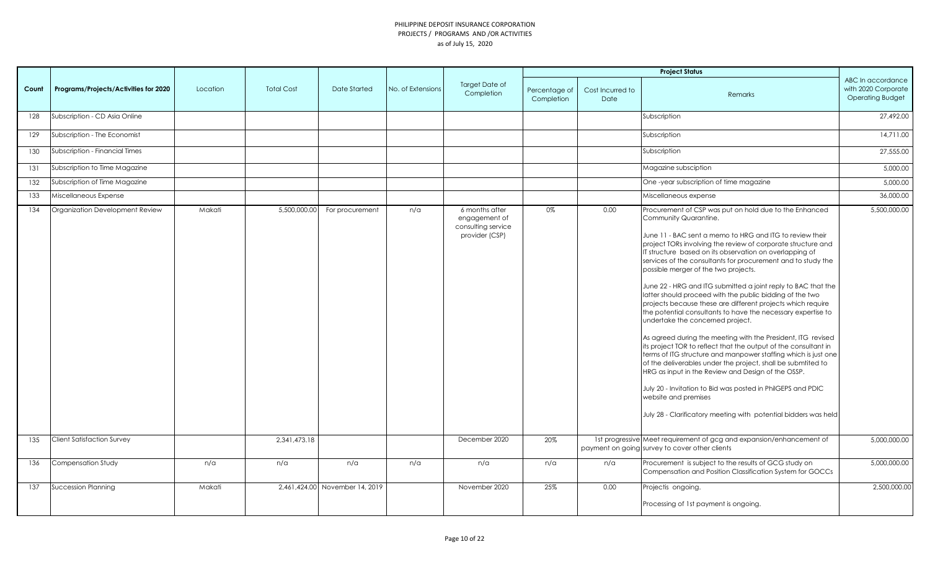|       |                                       |          |                   |                                |                   |                                                                         |                             |                          | <b>Project Status</b>                                                                                                                                                                                                                                                                                                                                                                                                                                                                                                                                                                                                                                                                                                                                                                                                                                                                                                                                                                                                                                                                                                                                               |                                                                     |
|-------|---------------------------------------|----------|-------------------|--------------------------------|-------------------|-------------------------------------------------------------------------|-----------------------------|--------------------------|---------------------------------------------------------------------------------------------------------------------------------------------------------------------------------------------------------------------------------------------------------------------------------------------------------------------------------------------------------------------------------------------------------------------------------------------------------------------------------------------------------------------------------------------------------------------------------------------------------------------------------------------------------------------------------------------------------------------------------------------------------------------------------------------------------------------------------------------------------------------------------------------------------------------------------------------------------------------------------------------------------------------------------------------------------------------------------------------------------------------------------------------------------------------|---------------------------------------------------------------------|
| Count | Programs/Projects/Activities for 2020 | Location | <b>Total Cost</b> | Date Started                   | No. of Extensions | <b>Target Date of</b><br>Completion                                     | Percentage of<br>Completion | Cost Incurred to<br>Date | Remarks                                                                                                                                                                                                                                                                                                                                                                                                                                                                                                                                                                                                                                                                                                                                                                                                                                                                                                                                                                                                                                                                                                                                                             | ABC In accordance<br>with 2020 Corporate<br><b>Operating Budget</b> |
| 128   | Subscription - CD Asia Online         |          |                   |                                |                   |                                                                         |                             |                          | Subscription                                                                                                                                                                                                                                                                                                                                                                                                                                                                                                                                                                                                                                                                                                                                                                                                                                                                                                                                                                                                                                                                                                                                                        | 27,492.00                                                           |
| 129   | Subscription - The Economist          |          |                   |                                |                   |                                                                         |                             |                          | Subscription                                                                                                                                                                                                                                                                                                                                                                                                                                                                                                                                                                                                                                                                                                                                                                                                                                                                                                                                                                                                                                                                                                                                                        | 14,711.00                                                           |
| 130   | Subscription - Financial Times        |          |                   |                                |                   |                                                                         |                             |                          | Subscription                                                                                                                                                                                                                                                                                                                                                                                                                                                                                                                                                                                                                                                                                                                                                                                                                                                                                                                                                                                                                                                                                                                                                        | 27,555.00                                                           |
| 131   | Subscription to Time Magazine         |          |                   |                                |                   |                                                                         |                             |                          | Magazine subsciption                                                                                                                                                                                                                                                                                                                                                                                                                                                                                                                                                                                                                                                                                                                                                                                                                                                                                                                                                                                                                                                                                                                                                | 5,000.00                                                            |
| 132   | Subscription of Time Magazine         |          |                   |                                |                   |                                                                         |                             |                          | One-year subscription of time magazine                                                                                                                                                                                                                                                                                                                                                                                                                                                                                                                                                                                                                                                                                                                                                                                                                                                                                                                                                                                                                                                                                                                              | 5,000.00                                                            |
| 133   | Miscellaneous Expense                 |          |                   |                                |                   |                                                                         |                             |                          | Miscellaneous expense                                                                                                                                                                                                                                                                                                                                                                                                                                                                                                                                                                                                                                                                                                                                                                                                                                                                                                                                                                                                                                                                                                                                               | 36,000.00                                                           |
| 134   | Organization Development Review       | Makati   | 5,500,000.00      | For procurement                | n/a               | 6 months after<br>engagement of<br>consulting service<br>provider (CSP) | 0%                          | 0.00                     | Procurement of CSP was put on hold due to the Enhanced<br>Community Quarantine.<br>June 11 - BAC sent a memo to HRG and ITG to review their<br>project TORs involving the review of corporate structure and<br>IT structure based on its observation on overlapping of<br>services of the consultants for procurement and to study the<br>possible merger of the two projects.<br>June 22 - HRG and ITG submitted a joint reply to BAC that the<br>latter should proceed with the public bidding of the two<br>projects because these are different projects which require<br>the potential consultants to have the necessary expertise to<br>undertake the concerned project.<br>As agreed during the meeting with the President, ITG revised<br>its project TOR to reflect that the output of the consultant in<br>terms of ITG structure and manpower staffing which is just one<br>of the deliverables under the project, shall be submtited to<br>HRG as input in the Review and Design of the OSSP.<br>July 20 - Invitation to Bid was posted in PhilGEPS and PDIC<br>website and premises<br>July 28 - Clarificatory meeting with potential bidders was held | 5,500,000.00                                                        |
| 135   | <b>Client Satisfaction Survey</b>     |          | 2,341,473.18      |                                |                   | December 2020                                                           | 20%                         |                          | 1st progressive Meet requirement of gcg and expansion/enhancement of<br>payment on going survey to cover other clients                                                                                                                                                                                                                                                                                                                                                                                                                                                                                                                                                                                                                                                                                                                                                                                                                                                                                                                                                                                                                                              | 5,000,000.00                                                        |
| 136   | <b>Compensation Study</b>             | n/a      | n/a               | n/a                            | n/a               | n/a                                                                     | n/a                         | n/a                      | Procurement is subject to the results of GCG study on<br>Compensation and Position Classification System for GOCCs                                                                                                                                                                                                                                                                                                                                                                                                                                                                                                                                                                                                                                                                                                                                                                                                                                                                                                                                                                                                                                                  | 5,000,000.00                                                        |
| 137   | <b>Succession Planning</b>            | Makati   |                   | 2,461,424.00 November 14, 2019 |                   | November 2020                                                           | 25%                         | 0.00                     | Projectis ongoing.                                                                                                                                                                                                                                                                                                                                                                                                                                                                                                                                                                                                                                                                                                                                                                                                                                                                                                                                                                                                                                                                                                                                                  | 2,500,000.00                                                        |
|       |                                       |          |                   |                                |                   |                                                                         |                             |                          | Processing of 1st payment is ongoing.                                                                                                                                                                                                                                                                                                                                                                                                                                                                                                                                                                                                                                                                                                                                                                                                                                                                                                                                                                                                                                                                                                                               |                                                                     |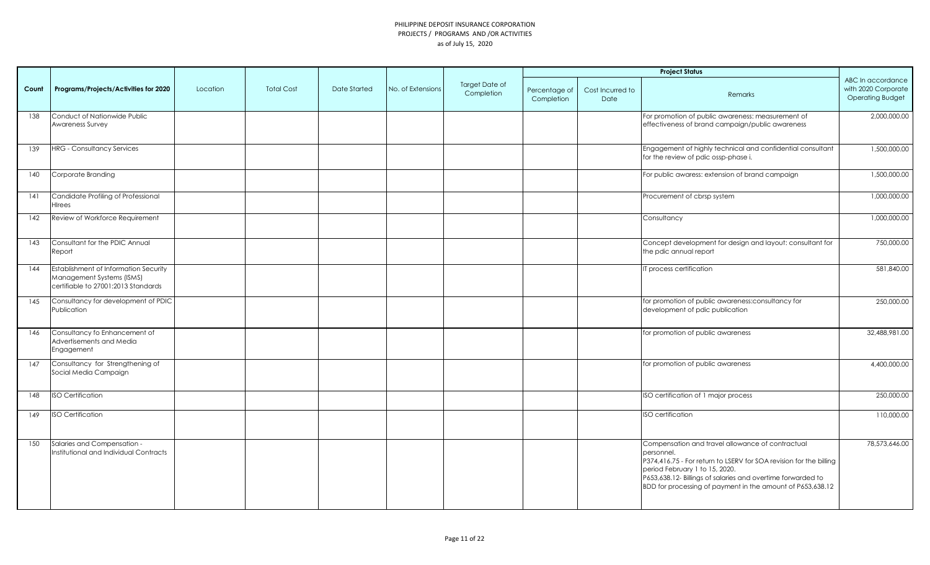|       |                                                                                                                  |          |                   |              |                   |                              |                             |                          | <b>Project Status</b>                                                                                                                                                                                                                                                                               |                                                                     |
|-------|------------------------------------------------------------------------------------------------------------------|----------|-------------------|--------------|-------------------|------------------------------|-----------------------------|--------------------------|-----------------------------------------------------------------------------------------------------------------------------------------------------------------------------------------------------------------------------------------------------------------------------------------------------|---------------------------------------------------------------------|
| Count | Programs/Projects/Activities for 2020                                                                            | Location | <b>Total Cost</b> | Date Started | No. of Extensions | Target Date of<br>Completion | Percentage of<br>Completion | Cost Incurred to<br>Date | <b>Remarks</b>                                                                                                                                                                                                                                                                                      | ABC In accordance<br>with 2020 Corporate<br><b>Operating Budget</b> |
| 138   | Conduct of Nationwide Public<br>Awareness Survey                                                                 |          |                   |              |                   |                              |                             |                          | For promotion of public awareness: measurement of<br>effectiveness of brand campaign/public awareness                                                                                                                                                                                               | 2,000,000.00                                                        |
| 139   | <b>HRG</b> - Consultancy Services                                                                                |          |                   |              |                   |                              |                             |                          | Engagement of highly technical and confidential consultant<br>for the review of pdic ossp-phase i.                                                                                                                                                                                                  | 1,500,000.00                                                        |
| 140   | Corporate Branding                                                                                               |          |                   |              |                   |                              |                             |                          | For public awaress: extension of brand campaign                                                                                                                                                                                                                                                     | 1,500,000.00                                                        |
| 141   | Candidate Profiling of Professional<br><b>H</b> Irees                                                            |          |                   |              |                   |                              |                             |                          | Procurement of cbrsp system                                                                                                                                                                                                                                                                         | 1,000,000.00                                                        |
| 142   | Review of Workforce Requirement                                                                                  |          |                   |              |                   |                              |                             |                          | Consultancy                                                                                                                                                                                                                                                                                         | 1,000,000.00                                                        |
| 143   | Consultant for the PDIC Annual<br>Report                                                                         |          |                   |              |                   |                              |                             |                          | Concept development for design and layout: consultant for<br>the pdic annual report                                                                                                                                                                                                                 | 750,000.00                                                          |
| 144   | <b>Establishment of Information Security</b><br>Management Systems (ISMS)<br>certifiable to 27001:2013 Standards |          |                   |              |                   |                              |                             |                          | T process certification                                                                                                                                                                                                                                                                             | 581,840.00                                                          |
| 145   | Consultancy for development of PDIC<br>Publication                                                               |          |                   |              |                   |                              |                             |                          | for promotion of public awareness:consultancy for<br>development of pdic publication                                                                                                                                                                                                                | 250,000.00                                                          |
| 146   | Consultancy fo Enhancement of<br>Advertisements and Media<br>Engagement                                          |          |                   |              |                   |                              |                             |                          | for promotion of public awareness                                                                                                                                                                                                                                                                   | 32,488,981.00                                                       |
| 147   | Consultancy for Strengthening of<br>Social Media Campaign                                                        |          |                   |              |                   |                              |                             |                          | for promotion of public awareness                                                                                                                                                                                                                                                                   | 4,400,000.00                                                        |
| 148   | <b>ISO Certification</b>                                                                                         |          |                   |              |                   |                              |                             |                          | ISO certification of 1 major process                                                                                                                                                                                                                                                                | 250,000.00                                                          |
| 149   | <b>ISO Certification</b>                                                                                         |          |                   |              |                   |                              |                             |                          | <b>ISO</b> certification                                                                                                                                                                                                                                                                            | 110,000.00                                                          |
| 150   | Salaries and Compensation -<br>Institutional and Individual Contracts                                            |          |                   |              |                   |                              |                             |                          | Compensation and travel allowance of contractual<br>personnel.<br>P374,416.75 - For return to LSERV for SOA revision for the billing<br>period February 1 to 15, 2020.<br>P653,638.12- Billings of salaries and overtime forwarded to<br>BDD for processing of payment in the amount of P653,638.12 | 78,573,646.00                                                       |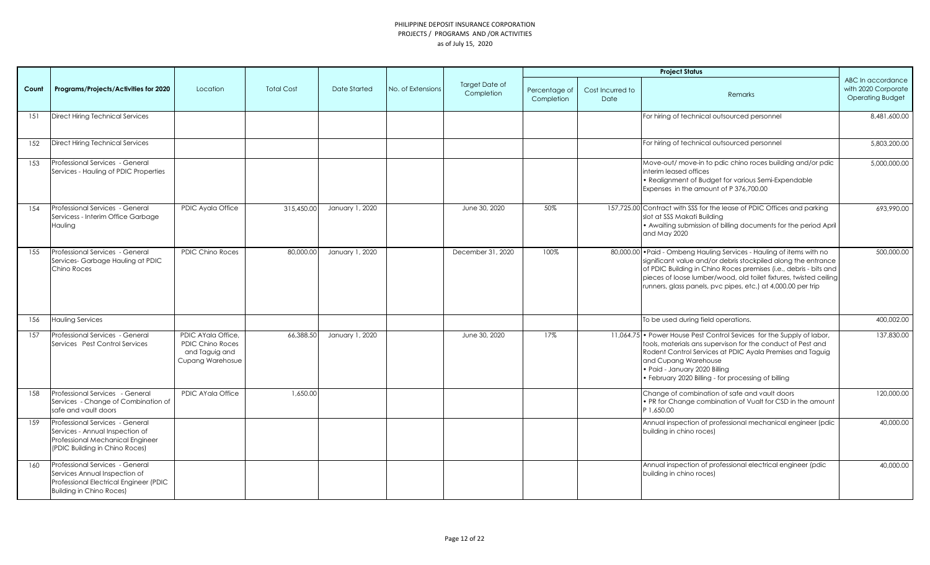|       |                                                                                                                                               |                                                                                            |                   |                 |                   |                                     |                             |                          | <b>Project Status</b>                                                                                                                                                                                                                                                                                                                            |                                                                     |
|-------|-----------------------------------------------------------------------------------------------------------------------------------------------|--------------------------------------------------------------------------------------------|-------------------|-----------------|-------------------|-------------------------------------|-----------------------------|--------------------------|--------------------------------------------------------------------------------------------------------------------------------------------------------------------------------------------------------------------------------------------------------------------------------------------------------------------------------------------------|---------------------------------------------------------------------|
| Count | Programs/Projects/Activities for 2020                                                                                                         | Location                                                                                   | <b>Total Cost</b> | Date Started    | No. of Extensions | <b>Target Date of</b><br>Completion | Percentage of<br>Completion | Cost Incurred to<br>Date | Remarks                                                                                                                                                                                                                                                                                                                                          | ABC In accordance<br>with 2020 Corporate<br><b>Operating Budget</b> |
| 151   | Direct Hiring Technical Services                                                                                                              |                                                                                            |                   |                 |                   |                                     |                             |                          | For hiring of technical outsourced personnel                                                                                                                                                                                                                                                                                                     | 8,481,600.00                                                        |
| 152   | <b>Direct Hiring Technical Services</b>                                                                                                       |                                                                                            |                   |                 |                   |                                     |                             |                          | For hiring of technical outsourced personnel                                                                                                                                                                                                                                                                                                     | 5,803,200.00                                                        |
| 153   | Professional Services - General<br>Services - Hauling of PDIC Properties                                                                      |                                                                                            |                   |                 |                   |                                     |                             |                          | Move-out/move-in to pdic chino roces building and/or pdic<br>interim leased offices<br>· Realignment of Budget for various Semi-Expendable<br>Expenses in the amount of P 376,700.00                                                                                                                                                             | 5,000,000.00                                                        |
| 154   | Professional Services - General<br>Servicess - Interim Office Garbage<br>Hauling                                                              | PDIC Ayala Office                                                                          | 315,450.00        | January 1, 2020 |                   | June 30, 2020                       | 50%                         |                          | 157,725.00 Contract with SSS for the lease of PDIC Offices and parking<br>slot at SSS Makati Building<br>• Awaiting submission of billing documents for the period April<br>and May 2020                                                                                                                                                         | 693.990.00                                                          |
| 155   | Professional Services - General<br>Services-Garbage Hauling at PDIC<br>Chino Roces                                                            | <b>PDIC Chino Roces</b>                                                                    | 80,000.00         | January 1, 2020 |                   | December 31, 2020                   | 100%                        |                          | 80,000.00 . Paid - Ombeng Hauling Services - Hauling of items with no<br>significant value and/or debris stockpiled along the entrance<br>of PDIC Building in Chino Roces premises (i.e., debris - bits and<br>pieces of loose lumber/wood, old toilet fixtures, twisted ceiling<br>runners, glass panels, pvc pipes, etc.) at 4,000.00 per trip | 500,000.00                                                          |
| 156   | <b>Hauling Services</b>                                                                                                                       |                                                                                            |                   |                 |                   |                                     |                             |                          | To be used during field operations.                                                                                                                                                                                                                                                                                                              | 400,002.00                                                          |
| 157   | Professional Services - General<br>Services Pest Control Services                                                                             | PDIC AYala Office,<br><b>PDIC Chino Roces</b><br>and Taguig and<br><b>Cupang Warehosue</b> | 66,388.50         | January 1, 2020 |                   | June 30, 2020                       | 17%                         |                          | 11,064.75 • Power House Pest Control Sevices for the Supply of labor,<br>tools, materials ans supervison for the conduct of Pest and<br>Rodent Control Services at PDIC Ayala Premises and Taguig<br>and Cupang Warehouse<br>· Paid - January 2020 Billing<br>· February 2020 Billing - for processing of billing                                | 137,830.00                                                          |
| 158   | Professional Services - General<br>Services - Change of Combination of<br>safe and vault doors                                                | <b>PDIC AYala Office</b>                                                                   | 1,650.00          |                 |                   |                                     |                             |                          | Change of combination of safe and vault doors<br>. PR for Change combination of Vualt for CSD in the amount<br>P 1.650.00                                                                                                                                                                                                                        | 120,000.00                                                          |
| 159   | Professional Services - General<br>Services - Annual Inspection of<br>Professional Mechanical Engineer<br>(PDIC Building in Chino Roces)      |                                                                                            |                   |                 |                   |                                     |                             |                          | Annual inspection of professional mechanical engineer (pdic<br>building in chino roces)                                                                                                                                                                                                                                                          | 40,000.00                                                           |
| 160   | Professional Services - General<br>Services Annual Inspection of<br>Professional Electrical Engineer (PDIC<br><b>Building in Chino Roces)</b> |                                                                                            |                   |                 |                   |                                     |                             |                          | Annual inspection of professional electrical engineer (pdic<br>building in chino roces)                                                                                                                                                                                                                                                          | 40,000.00                                                           |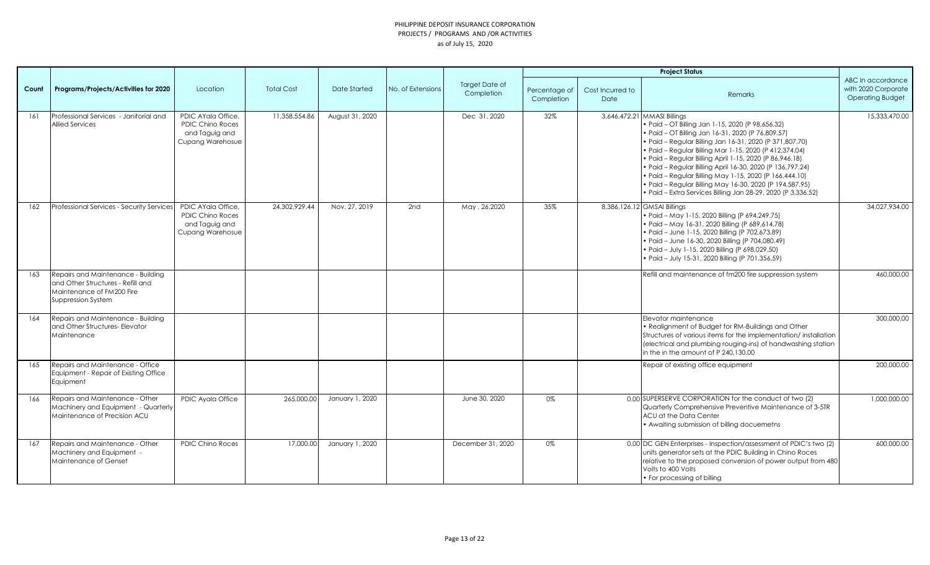|       |                                                                                                                            |                                                                                     |                   |                     |                   |                                     |                             |                          | <b>Project Status</b>                                                                                                                                                                                                                                                                                                                                                                                                                                                                                                                                                   |                                                                     |
|-------|----------------------------------------------------------------------------------------------------------------------------|-------------------------------------------------------------------------------------|-------------------|---------------------|-------------------|-------------------------------------|-----------------------------|--------------------------|-------------------------------------------------------------------------------------------------------------------------------------------------------------------------------------------------------------------------------------------------------------------------------------------------------------------------------------------------------------------------------------------------------------------------------------------------------------------------------------------------------------------------------------------------------------------------|---------------------------------------------------------------------|
| Count | Programs/Projects/Activities for 2020                                                                                      | Location                                                                            | <b>Total Cost</b> | <b>Date Started</b> | No. of Extensions | <b>Target Date of</b><br>Completion | Percentage of<br>Completion | Cost Incurred to<br>Date | Remarks                                                                                                                                                                                                                                                                                                                                                                                                                                                                                                                                                                 | ABC In accordance<br>with 2020 Corporate<br><b>Operating Budget</b> |
| 161   | Professional Services - Janitorial and<br><b>Allied Services</b>                                                           | PDIC AYala Office.<br><b>PDIC Chino Roces</b><br>and Taguig and<br>Cupang Warehosue | 11,358,554.86     | August 31, 2020     |                   | Dec 31, 2020                        | 32%                         |                          | 3,646,472.21 MMASI Billings<br>· Paid - OT Billing Jan 1-15, 2020 (P 98,656.32)<br>· Paid - OT Billing Jan 16-31, 2020 (P 76,809.57)<br>· Paid - Regular Billing Jan 16-31, 2020 (P 371,807.70)<br>• Paid - Regular Billing Mar 1-15, 2020 (P 412,374.04)<br>• Paid - Regular Billing April 1-15, 2020 (P 86,946.18)<br>· Paid - Regular Billing April 16-30, 2020 (P 136,797.24)<br>• Paid - Regular Billing May 1-15, 2020 (P 166, 444.10)<br>· Paid - Regular Billing May 16-30, 2020 (P 194,587.95)<br>· Paid - Extra Services Billing Jan 28-29, 2020 (P 3,336.52) | 15,333,470.00                                                       |
| 162   | Professional Services - Security Services                                                                                  | PDIC AYala Office,<br><b>PDIC Chino Roces</b><br>and Taguig and<br>Cupang Warehosue | 24,302,929.44     | Nov. 27, 2019       | 2nd               | May, 26,2020                        | 35%                         |                          | 8,386,126.12 GMSAI Billings<br>• Paid - May 1-15, 2020 Billing (P 694,249.75)<br>• Paid - May 16-31, 2020 Billing (P 689,614.78)<br>• Paid - June 1-15, 2020 Billing (P 702,673.89)<br>• Paid - June 16-30, 2020 Billing (P 704,080.49)<br>• Paid - July 1-15, 2020 Billing (P 698,029.50)<br>• Paid - July 15-31, 2020 Billing (P 701, 356.59)                                                                                                                                                                                                                         | 34,027,934.00                                                       |
| 163   | Repairs and Maintenance - Building<br>and Other Structures - Refill and<br>Maintenance of FM200 Fire<br>Suppression System |                                                                                     |                   |                     |                   |                                     |                             |                          | Refill and maintenance of fm200 fire suppression system                                                                                                                                                                                                                                                                                                                                                                                                                                                                                                                 | 460,000.00                                                          |
| 164   | Repairs and Maintenance - Building<br>and Other Structures- Elevator<br>Maintenance                                        |                                                                                     |                   |                     |                   |                                     |                             |                          | Elevator maintenance<br>• Realignment of Budget for RM-Buildings and Other<br>Structures of various items for the implementation/installation<br>(electrical and plumbing rouging-ins) of handwashing station<br>in the in the amount of P 240.130.00                                                                                                                                                                                                                                                                                                                   | 300,000.00                                                          |
| 165   | Repairs and Maintenance - Office<br>Equipment - Repair of Existing Office<br>Equipment                                     |                                                                                     |                   |                     |                   |                                     |                             |                          | Repair of existing office equipment                                                                                                                                                                                                                                                                                                                                                                                                                                                                                                                                     | 200,000.00                                                          |
| 166   | Repairs and Maintenance - Other<br>Machinery and Equipment - Quarterly<br>Maintenance of Precision ACU                     | PDIC Ayala Office                                                                   | 265,000.00        | January 1, 2020     |                   | June 30, 2020                       | 0%                          |                          | 0.00 SUPERSERVE CORPORATION for the conduct of two (2)<br>Quarterly Comprehensive Preventive Maintenance of 3-5TR<br>ACU at the Data Center<br>• Awaiting submission of billing docuemeths                                                                                                                                                                                                                                                                                                                                                                              | 1,000,000.00                                                        |
| 167   | Repairs and Maintenance - Other<br>Machinery and Equipment -<br>Maintenance of Genset                                      | <b>PDIC Chino Roces</b>                                                             | 17,000.00         | January 1, 2020     |                   | December 31, 2020                   | 0%                          |                          | 0.00 DC GEN Enterprises - Inspection/assessment of PDIC's two (2)<br>units generator sets at the PDIC Building in Chino Roces<br>relative to the proposed conversion of power output from 480<br>Volts to 400 Volts<br>• For processing of billing                                                                                                                                                                                                                                                                                                                      | 600,000.00                                                          |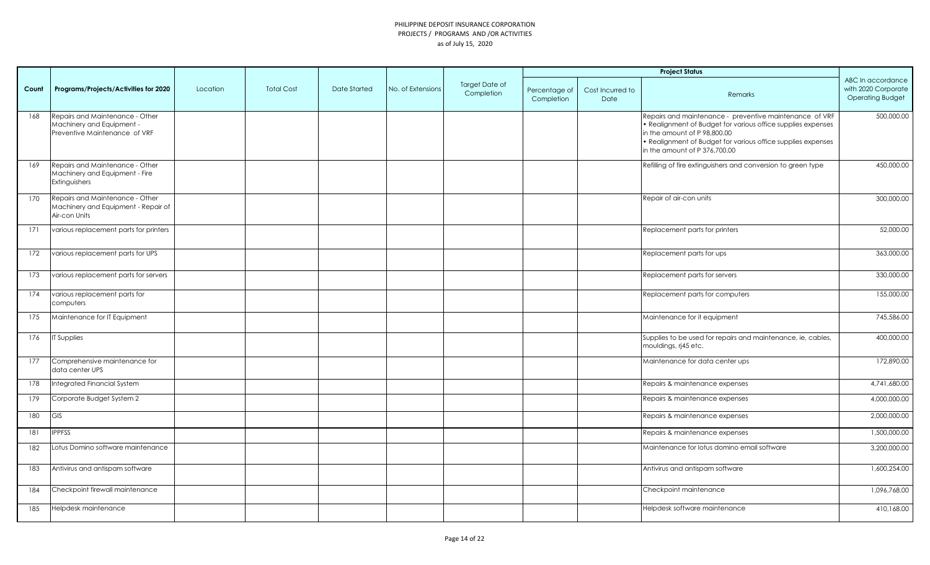|       |                                                                                               |          |                   |              |                   |                              |                             |                          | <b>Project Status</b>                                                                                                                                                                                                                                    |                                                                     |
|-------|-----------------------------------------------------------------------------------------------|----------|-------------------|--------------|-------------------|------------------------------|-----------------------------|--------------------------|----------------------------------------------------------------------------------------------------------------------------------------------------------------------------------------------------------------------------------------------------------|---------------------------------------------------------------------|
| Count | Programs/Projects/Activities for 2020                                                         | Location | <b>Total Cost</b> | Date Started | No. of Extensions | Target Date of<br>Completion | Percentage of<br>Completion | Cost Incurred to<br>Date | Remarks                                                                                                                                                                                                                                                  | ABC In accordance<br>with 2020 Corporate<br><b>Operating Budget</b> |
| 168   | Repairs and Maintenance - Other<br>Machinery and Equipment -<br>Preventive Maintenance of VRF |          |                   |              |                   |                              |                             |                          | Repairs and maintenance - preventive maintenance of VRF<br>· Realignment of Budget for various office supplies expenses<br>in the amount of P 98,800.00<br>• Realignment of Budget for various office supplies expenses<br>in the amount of P 376,700.00 | 500,000.00                                                          |
| 169   | Repairs and Maintenance - Other<br>Machinery and Equipment - Fire<br>Extinguishers            |          |                   |              |                   |                              |                             |                          | Refilling of fire extinguishers and conversion to green type                                                                                                                                                                                             | 450,000.00                                                          |
| 170   | Repairs and Maintenance - Other<br>Machinery and Equipment - Repair of<br>Air-con Units       |          |                   |              |                   |                              |                             |                          | Repair of air-con units                                                                                                                                                                                                                                  | 300,000.00                                                          |
| 171   | various replacement parts for printers                                                        |          |                   |              |                   |                              |                             |                          | Replacement parts for printers                                                                                                                                                                                                                           | 52,000.00                                                           |
| 172   | various replacement parts for UPS                                                             |          |                   |              |                   |                              |                             |                          | Replacement parts for ups                                                                                                                                                                                                                                | 363,000.00                                                          |
| 173   | various replacement parts for servers                                                         |          |                   |              |                   |                              |                             |                          | Replacement parts for servers                                                                                                                                                                                                                            | 330,000.00                                                          |
| 174   | various replacement parts for<br>computers                                                    |          |                   |              |                   |                              |                             |                          | Replacement parts for computers                                                                                                                                                                                                                          | 155,000.00                                                          |
| 175   | Maintenance for IT Equipment                                                                  |          |                   |              |                   |                              |                             |                          | Maintenance for it equipment                                                                                                                                                                                                                             | 745,586.00                                                          |
| 176   | <b>IT Supplies</b>                                                                            |          |                   |              |                   |                              |                             |                          | Supplies to be used for repairs and maintenance, ie, cables,<br>mouldings, rj45 etc.                                                                                                                                                                     | 400,000.00                                                          |
| 177   | Comprehensive maintenance for<br>data center UPS                                              |          |                   |              |                   |                              |                             |                          | Maintenance for data center ups                                                                                                                                                                                                                          | 172,890.00                                                          |
| 178   | Integrated Financial System                                                                   |          |                   |              |                   |                              |                             |                          | Repairs & maintenance expenses                                                                                                                                                                                                                           | 4,741,680.00                                                        |
| 179   | Corporate Budget System 2                                                                     |          |                   |              |                   |                              |                             |                          | Repairs & maintenance expenses                                                                                                                                                                                                                           | 4,000,000.00                                                        |
| 180   | <b>GIS</b>                                                                                    |          |                   |              |                   |                              |                             |                          | Repairs & maintenance expenses                                                                                                                                                                                                                           | 2,000,000.00                                                        |
| 181   | <b>IPPFSS</b>                                                                                 |          |                   |              |                   |                              |                             |                          | Repairs & maintenance expenses                                                                                                                                                                                                                           | 1,500,000.00                                                        |
| 182   | Lotus Domino software maintenance                                                             |          |                   |              |                   |                              |                             |                          | Maintenance for lotus domino email software                                                                                                                                                                                                              | 3,200,000.00                                                        |
| 183   | Antivirus and antispam software                                                               |          |                   |              |                   |                              |                             |                          | Antivirus and antispam software                                                                                                                                                                                                                          | 1,600,254.00                                                        |
| 184   | Checkpoint firewall maintenance                                                               |          |                   |              |                   |                              |                             |                          | Checkpoint maintenance                                                                                                                                                                                                                                   | 1,096,768.00                                                        |
| 185   | Helpdesk maintenance                                                                          |          |                   |              |                   |                              |                             |                          | Helpdesk software maintenance                                                                                                                                                                                                                            | 410,168.00                                                          |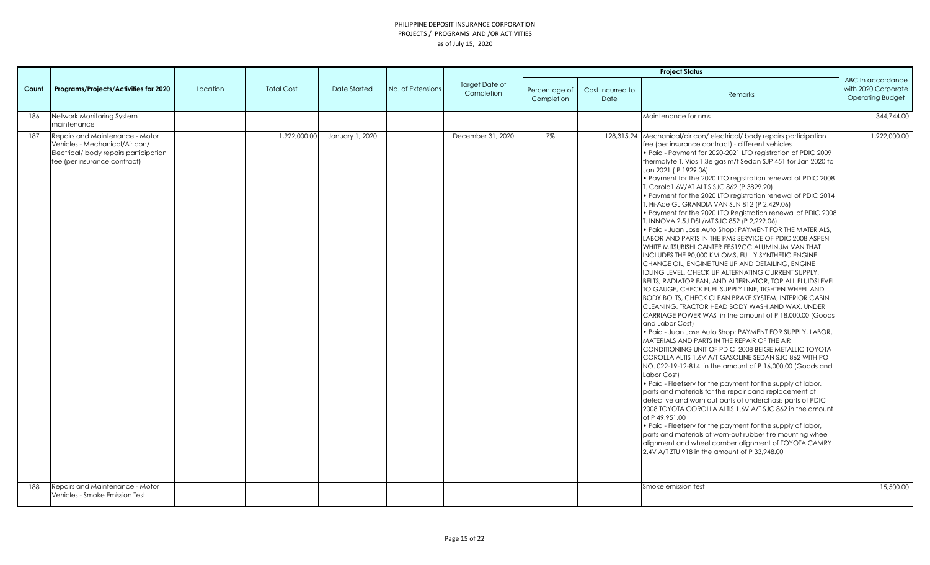|            |                                                                                                                                                                               |          |                   |                 |                   |                                     |                             |                          | <b>Project Status</b>                                                                                                                                                                                                                                                                                                                                                                                                                                                                                                                                                                                                                                                                                                                                                                                                                                                                                                                                                                                                                                                                                                                                                                                                                                                                                                                                                                                                                                                                                                                                                                                                                                                                                                                                                                                                                                                                                                                                                                                                                                                                                                         |                                                                     |
|------------|-------------------------------------------------------------------------------------------------------------------------------------------------------------------------------|----------|-------------------|-----------------|-------------------|-------------------------------------|-----------------------------|--------------------------|-------------------------------------------------------------------------------------------------------------------------------------------------------------------------------------------------------------------------------------------------------------------------------------------------------------------------------------------------------------------------------------------------------------------------------------------------------------------------------------------------------------------------------------------------------------------------------------------------------------------------------------------------------------------------------------------------------------------------------------------------------------------------------------------------------------------------------------------------------------------------------------------------------------------------------------------------------------------------------------------------------------------------------------------------------------------------------------------------------------------------------------------------------------------------------------------------------------------------------------------------------------------------------------------------------------------------------------------------------------------------------------------------------------------------------------------------------------------------------------------------------------------------------------------------------------------------------------------------------------------------------------------------------------------------------------------------------------------------------------------------------------------------------------------------------------------------------------------------------------------------------------------------------------------------------------------------------------------------------------------------------------------------------------------------------------------------------------------------------------------------------|---------------------------------------------------------------------|
| Count      | Programs/Projects/Activities for 2020                                                                                                                                         | Location | <b>Total Cost</b> | Date Started    | No. of Extensions | <b>Target Date of</b><br>Completion | Percentage of<br>Completion | Cost Incurred to<br>Date | Remarks                                                                                                                                                                                                                                                                                                                                                                                                                                                                                                                                                                                                                                                                                                                                                                                                                                                                                                                                                                                                                                                                                                                                                                                                                                                                                                                                                                                                                                                                                                                                                                                                                                                                                                                                                                                                                                                                                                                                                                                                                                                                                                                       | ABC In accordance<br>with 2020 Corporate<br><b>Operating Budget</b> |
| 186        | Network Monitoring System<br>maintenance                                                                                                                                      |          |                   |                 |                   |                                     |                             |                          | Maintenance for nms                                                                                                                                                                                                                                                                                                                                                                                                                                                                                                                                                                                                                                                                                                                                                                                                                                                                                                                                                                                                                                                                                                                                                                                                                                                                                                                                                                                                                                                                                                                                                                                                                                                                                                                                                                                                                                                                                                                                                                                                                                                                                                           | 344,744.00                                                          |
| 187<br>188 | Repairs and Maintenance - Motor<br>Vehicles - Mechanical/Air con/<br>Electrical/body repairs participation<br>fee (per insurance contract)<br>Repairs and Maintenance - Motor |          | 1,922,000.00      | January 1, 2020 |                   | December 31, 2020                   | 7%                          |                          | 128,315.24 Mechanical/air con/electrical/body repairs participation<br>fee (per insurance contract) - different vehicles<br>• Paid - Payment for 2020-2021 LTO registration of PDIC 2009<br>thermalyte T. Vios 1.3e gas m/t Sedan SJP 451 for Jan 2020 to<br>Jan 2021 (P 1929.06)<br>. Payment for the 2020 LTO registration renewal of PDIC 2008<br>T. Corola1.6V/AT ALTIS SJC 862 (P 3829.20)<br>• Payment for the 2020 LTO registration renewal of PDIC 2014<br>T. Hi-Ace GL GRANDIA VAN SJN 812 (P 2,429.06)<br>. Payment for the 2020 LTO Registration renewal of PDIC 2008<br>T. INNOVA 2.5J DSL/MT SJC 852 (P 2,229.06)<br>• Paid - Juan Jose Auto Shop: PAYMENT FOR THE MATERIALS,<br>LABOR AND PARTS IN THE PMS SERVICE OF PDIC 2008 ASPEN<br>WHITE MITSUBISHI CANTER FE519CC ALUMINUM VAN THAT<br>INCLUDES THE 90,000 KM OMS, FULLY SYNTHETIC ENGINE<br>CHANGE OIL, ENGINE TUNE UP AND DETAILING, ENGINE<br>IDLING LEVEL, CHECK UP ALTERNATING CURRENT SUPPLY,<br>BELTS, RADIATOR FAN, AND ALTERNATOR, TOP ALL FLUIDSLEVEL<br>TO GAUGE, CHECK FUEL SUPPLY LINE, TIGHTEN WHEEL AND<br>BODY BOLTS, CHECK CLEAN BRAKE SYSTEM, INTERIOR CABIN<br>CLEANING, TRACTOR HEAD BODY WASH AND WAX, UNDER<br>CARRIAGE POWER WAS in the amount of P 18,000.00 (Goods<br>and Labor Cost)<br>• Paid - Juan Jose Auto Shop: PAYMENT FOR SUPPLY, LABOR,<br>MATERIALS AND PARTS IN THE REPAIR OF THE AIR<br>CONDITIONING UNIT OF PDIC 2008 BEIGE METALLIC TOYOTA<br>COROLLA ALTIS 1.6V A/T GASOLINE SEDAN SJC 862 WITH PO<br>NO. 022-19-12-814 in the amount of P 16,000.00 (Goods and<br>Labor Cost)<br>. Paid - Fleetserv for the payment for the supply of labor,<br>parts and materials for the repair oand replacement of<br>defective and worn out parts of underchasis parts of PDIC<br>2008 TOYOTA COROLLA ALTIS 1.6V A/T SJC 862 in the amount<br>of P 49,951.00<br>• Paid - Fleetsery for the payment for the supply of labor,<br>parts and materials of worn-out rubber tire mounting wheel<br>alignment and wheel camber alignment of TOYOTA CAMRY<br>2.4V A/T ZTU 918 in the amount of P 33,948.00<br>Smoke emission test | 1,922,000.00                                                        |
|            | Vehicles - Smoke Emission Test                                                                                                                                                |          |                   |                 |                   |                                     |                             |                          |                                                                                                                                                                                                                                                                                                                                                                                                                                                                                                                                                                                                                                                                                                                                                                                                                                                                                                                                                                                                                                                                                                                                                                                                                                                                                                                                                                                                                                                                                                                                                                                                                                                                                                                                                                                                                                                                                                                                                                                                                                                                                                                               | 15,500.00                                                           |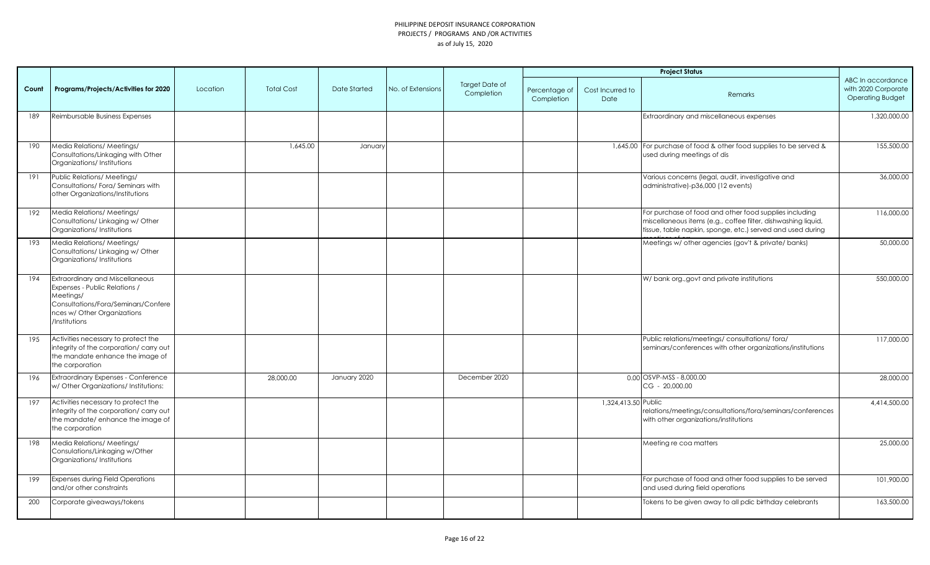|       |                                                                                                                                                                             |          |                   |                     |                   |                                     |                             | <b>Project Status</b>    |                                                                                                                                                                                       |                                                                     |
|-------|-----------------------------------------------------------------------------------------------------------------------------------------------------------------------------|----------|-------------------|---------------------|-------------------|-------------------------------------|-----------------------------|--------------------------|---------------------------------------------------------------------------------------------------------------------------------------------------------------------------------------|---------------------------------------------------------------------|
| Count | Programs/Projects/Activities for 2020                                                                                                                                       | Location | <b>Total Cost</b> | <b>Date Started</b> | No. of Extensions | <b>Target Date of</b><br>Completion | Percentage of<br>Completion | Cost Incurred to<br>Date | Remarks                                                                                                                                                                               | ABC In accordance<br>with 2020 Corporate<br><b>Operating Budget</b> |
| 189   | Reimbursable Business Expenses                                                                                                                                              |          |                   |                     |                   |                                     |                             |                          | Extraordinary and miscellaneous expenses                                                                                                                                              | 1,320,000.00                                                        |
| 190   | Media Relations/ Meetings/<br>Consultations/Linkaging with Other<br>Organizations/Institutions                                                                              |          | 1,645.00          | January             |                   |                                     |                             |                          | 1,645.00 For purchase of food & other food supplies to be served &<br>used during meetings of dis                                                                                     | 155,500.00                                                          |
| 191   | Public Relations/ Meetings/<br>Consultations/Fora/Seminars with<br>other Organizations/Institutions                                                                         |          |                   |                     |                   |                                     |                             |                          | Various concerns (legal, audit, investigative and<br>administrative)-p36,000 (12 events)                                                                                              | 36,000.00                                                           |
| 192   | Media Relations/ Meetings/<br>Consultations/Linkaging w/Other<br>Organizations/Institutions                                                                                 |          |                   |                     |                   |                                     |                             |                          | For purchase of food and other food supplies including<br>miscellaneous items (e.g., coffee filter, dishwashing liquid,<br>tissue, table napkin, sponge, etc.) served and used during | 116,000.00                                                          |
| 193   | Media Relations/ Meetings/<br>Consultations/Linkaging w/Other<br>Organizations/Institutions                                                                                 |          |                   |                     |                   |                                     |                             |                          | Meetings w/ other agencies (gov't & private/ banks)                                                                                                                                   | 50,000.00                                                           |
| 194   | <b>Extraordinary and Miscellaneous</b><br>Expenses - Public Relations /<br>Meetings/<br>Consultations/Fora/Seminars/Confere<br>nces w/ Other Organizations<br>/Institutions |          |                   |                     |                   |                                     |                             |                          | W/ bank org., govt and private institutions                                                                                                                                           | 550,000.00                                                          |
| 195   | Activities necessary to protect the<br>integrity of the corporation/ carry out<br>the mandate enhance the image of<br>the corporation                                       |          |                   |                     |                   |                                     |                             |                          | Public relations/meetings/consultations/fora/<br>seminars/conferences with other organizations/institutions                                                                           | 117,000.00                                                          |
| 196   | <b>Extraordinary Expenses - Conference</b><br>w/ Other Organizations/ Institutions:                                                                                         |          | 28,000.00         | January 2020        |                   | December 2020                       |                             |                          | 0.00 OSVP-MSS - 8,000.00<br>CG - 20,000.00                                                                                                                                            | 28,000.00                                                           |
| 197   | Activities necessary to protect the<br>integrity of the corporation/ carry out<br>the mandate/ enhance the image of<br>the corporation                                      |          |                   |                     |                   |                                     |                             | 1,324,413.50 Public      | relations/meetings/consultations/fora/seminars/conferences<br>with other organizations/institutions                                                                                   | 4,414,500.00                                                        |
| 198   | Media Relations/ Meetings/<br>Consulations/Linkaging w/Other<br>Organizations/Institutions                                                                                  |          |                   |                     |                   |                                     |                             |                          | Meeting re coa matters                                                                                                                                                                | 25,000.00                                                           |
| 199   | <b>Expenses during Field Operations</b><br>and/or other constraints                                                                                                         |          |                   |                     |                   |                                     |                             |                          | For purchase of food and other food supplies to be served<br>and used during field operations                                                                                         | 101,900.00                                                          |
| 200   | Corporate giveaways/tokens                                                                                                                                                  |          |                   |                     |                   |                                     |                             |                          | Tokens to be given away to all pdic birthday celebrants                                                                                                                               | 163,500.00                                                          |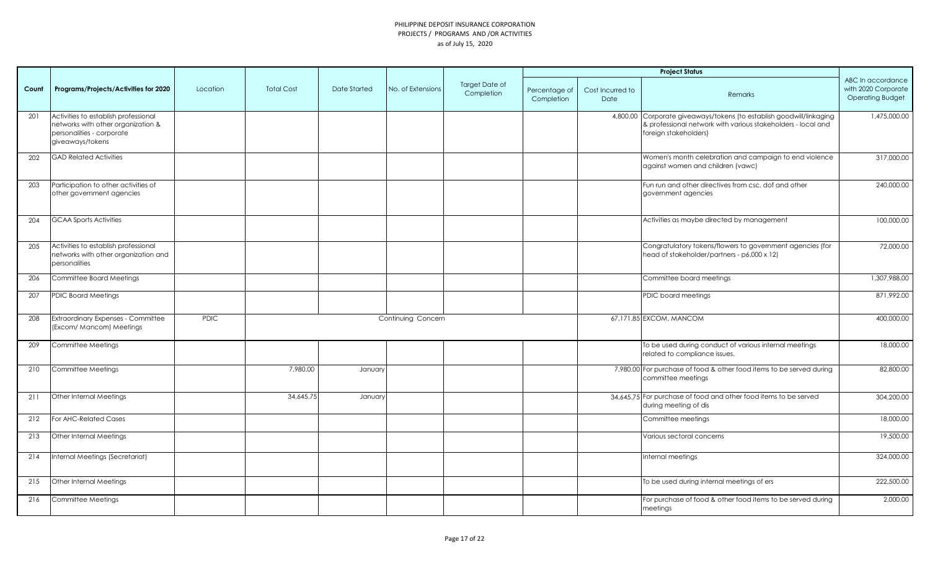|       |                                                                                                                             |             |                   |              |                    |                              |                             |                          | <b>Project Status</b>                                                                                                                                         |                                                                     |
|-------|-----------------------------------------------------------------------------------------------------------------------------|-------------|-------------------|--------------|--------------------|------------------------------|-----------------------------|--------------------------|---------------------------------------------------------------------------------------------------------------------------------------------------------------|---------------------------------------------------------------------|
| Count | Programs/Projects/Activities for 2020                                                                                       | Location    | <b>Total Cost</b> | Date Started | No. of Extensions  | Target Date of<br>Completion | Percentage of<br>Completion | Cost Incurred to<br>Date | Remarks                                                                                                                                                       | ABC In accordance<br>with 2020 Corporate<br><b>Operating Budget</b> |
| 201   | Activities to establish professional<br>networks with other organization &<br>personalities - corporate<br>giveaways/tokens |             |                   |              |                    |                              |                             |                          | 4,800.00 Corporate giveaways/tokens (to establish goodwill/linkaging<br>& professional network with various stakeholders - local and<br>foreign stakeholders) | 1,475,000.00                                                        |
| 202   | <b>GAD Related Activities</b>                                                                                               |             |                   |              |                    |                              |                             |                          | Women's month celebration and campaign to end violence<br>against women and children (vawc)                                                                   | 317,000.00                                                          |
| 203   | Participation to other activities of<br>other government agencies                                                           |             |                   |              |                    |                              |                             |                          | Fun run and other directives from csc, dof and other<br>government agencies                                                                                   | 240,000.00                                                          |
| 204   | <b>GCAA Sports Activities</b>                                                                                               |             |                   |              |                    |                              |                             |                          | Activities as maybe directed by management                                                                                                                    | 100,000.00                                                          |
| 205   | Activities to establish professional<br>networks with other organization and<br>personalities                               |             |                   |              |                    |                              |                             |                          | Congratulatory tokens/flowers to government agencies (for<br>head of stakeholder/partners - p6,000 x 12)                                                      | 72,000.00                                                           |
| 206   | Committee Board Meetings                                                                                                    |             |                   |              |                    |                              |                             |                          | Committee board meetings                                                                                                                                      | 1,307,988.00                                                        |
| 207   | <b>PDIC Board Meetings</b>                                                                                                  |             |                   |              |                    |                              |                             |                          | PDIC board meetings                                                                                                                                           | 871,992.00                                                          |
| 208   | <b>Extraordinary Expenses - Committee</b><br>(Excom/ Mancom) Meetings                                                       | <b>PDIC</b> |                   |              | Continuing Concern |                              |                             |                          | 67,171.85 EXCOM, MANCOM                                                                                                                                       | 400,000.00                                                          |
| 209   | Committee Meetings                                                                                                          |             |                   |              |                    |                              |                             |                          | To be used during conduct of various internal meetings<br>related to compliance issues.                                                                       | 18,000.00                                                           |
| 210   | Committee Meetings                                                                                                          |             | 7,980.00          | January      |                    |                              |                             |                          | 7,980.00 For purchase of food & other food items to be served during<br>committee meetings                                                                    | 82,800.00                                                           |
| 211   | Other Internal Meetings                                                                                                     |             | 34.645.75         | January      |                    |                              |                             |                          | 34,645.75 For purchase of food and other food items to be served<br>during meeting of dis                                                                     | 304,200.00                                                          |
| 212   | For AHC-Related Cases                                                                                                       |             |                   |              |                    |                              |                             |                          | Committee meetings                                                                                                                                            | 18,000.00                                                           |
| 213   | Other Internal Meetings                                                                                                     |             |                   |              |                    |                              |                             |                          | Various sectoral concerns                                                                                                                                     | 19,500.00                                                           |
| 214   | Internal Meetings (Secretariat)                                                                                             |             |                   |              |                    |                              |                             |                          | Internal meetings                                                                                                                                             | 324,000.00                                                          |
| 215   | Other Internal Meetings                                                                                                     |             |                   |              |                    |                              |                             |                          | To be used during internal meetings of ers                                                                                                                    | 222,500.00                                                          |
| 216   | Committee Meetings                                                                                                          |             |                   |              |                    |                              |                             |                          | For purchase of food & other food items to be served during<br>meetings                                                                                       | 2,000.00                                                            |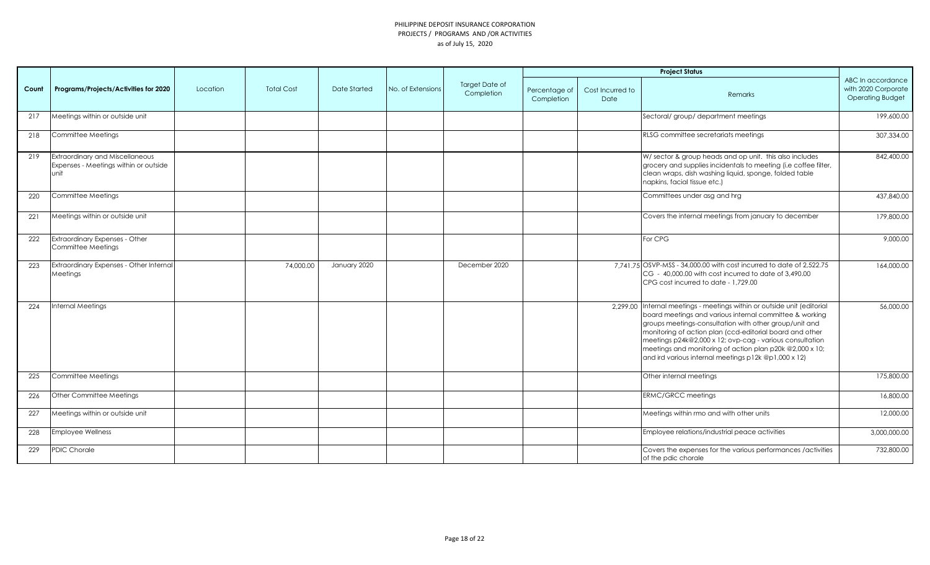|       |                                                                                  |          |                   |              |                   |                              |                             |                                 | <b>Project Status</b>                                                                                                                                                                                                                                                                                                                                                                                                                    |                                                                     |
|-------|----------------------------------------------------------------------------------|----------|-------------------|--------------|-------------------|------------------------------|-----------------------------|---------------------------------|------------------------------------------------------------------------------------------------------------------------------------------------------------------------------------------------------------------------------------------------------------------------------------------------------------------------------------------------------------------------------------------------------------------------------------------|---------------------------------------------------------------------|
| Count | Programs/Projects/Activities for 2020                                            | Location | <b>Total Cost</b> | Date Started | No. of Extensions | Target Date of<br>Completion | Percentage of<br>Completion | Cost Incurred to<br><b>Date</b> | Remarks                                                                                                                                                                                                                                                                                                                                                                                                                                  | ABC In accordance<br>with 2020 Corporate<br><b>Operating Budget</b> |
| 217   | Meetings within or outside unit                                                  |          |                   |              |                   |                              |                             |                                 | Sectoral/ group/ department meetings                                                                                                                                                                                                                                                                                                                                                                                                     | 199,600.00                                                          |
| 218   | Committee Meetings                                                               |          |                   |              |                   |                              |                             |                                 | RLSG committee secretariats meetings                                                                                                                                                                                                                                                                                                                                                                                                     | 307,334.00                                                          |
| 219   | Extraordinary and Miscellaneous<br>Expenses - Meetings within or outside<br>unit |          |                   |              |                   |                              |                             |                                 | W/sector & group heads and op unit. this also includes<br>grocery and supplies incidentals to meeting (i.e coffee filter,<br>clean wraps, dish washing liquid, sponge, folded table<br>napkins, facial tissue etc.)                                                                                                                                                                                                                      | 842,400.00                                                          |
| 220   | Committee Meetings                                                               |          |                   |              |                   |                              |                             |                                 | Committees under asg and hrg                                                                                                                                                                                                                                                                                                                                                                                                             | 437,840.00                                                          |
| 221   | Meetings within or outside unit                                                  |          |                   |              |                   |                              |                             |                                 | Covers the internal meetings from january to december                                                                                                                                                                                                                                                                                                                                                                                    | 179,800.00                                                          |
| 222   | Extraordinary Expenses - Other<br>Committee Meetings                             |          |                   |              |                   |                              |                             |                                 | For CPG                                                                                                                                                                                                                                                                                                                                                                                                                                  | 9,000.00                                                            |
| 223   | Extraordinary Expenses - Other Internal<br>Meetings                              |          | 74,000.00         | January 2020 |                   | December 2020                |                             |                                 | 7.741.75 OSVP-MSS - 34,000.00 with cost incurred to date of 2,522.75<br>CG - 40,000.00 with cost incurred to date of 3,490.00<br>CPG cost incurred to date - 1,729.00                                                                                                                                                                                                                                                                    | 164,000.00                                                          |
| 224   | <b>Internal Meetings</b>                                                         |          |                   |              |                   |                              |                             |                                 | 2,299.00 Internal meetings - meetings within or outside unit (editorial<br>board meetings and various internal committee & working<br>groups meetings-consultation with other group/unit and<br>monitoring of action plan (ccd-editorial board and other<br>meetings p24k@2,000 x 12; ovp-cag - various consultation<br>meetings and monitoring of action plan p20k @2,000 x 10;<br>and ird various internal meetings p12k @p1,000 x 12) | 56,000.00                                                           |
| 225   | Committee Meetings                                                               |          |                   |              |                   |                              |                             |                                 | Other internal meetings                                                                                                                                                                                                                                                                                                                                                                                                                  | 175,800.00                                                          |
| 226   | Other Committee Meetings                                                         |          |                   |              |                   |                              |                             |                                 | <b>ERMC/GRCC meetings</b>                                                                                                                                                                                                                                                                                                                                                                                                                | 16,800.00                                                           |
| 227   | Meetings within or outside unit                                                  |          |                   |              |                   |                              |                             |                                 | Meetings within rmo and with other units                                                                                                                                                                                                                                                                                                                                                                                                 | 12,000.00                                                           |
| 228   | <b>Employee Wellness</b>                                                         |          |                   |              |                   |                              |                             |                                 | Employee relations/industrial peace activities                                                                                                                                                                                                                                                                                                                                                                                           | 3,000,000.00                                                        |
| 229   | <b>PDIC Chorale</b>                                                              |          |                   |              |                   |                              |                             |                                 | Covers the expenses for the various performances / activities<br>of the pdic chorale                                                                                                                                                                                                                                                                                                                                                     | 732,800.00                                                          |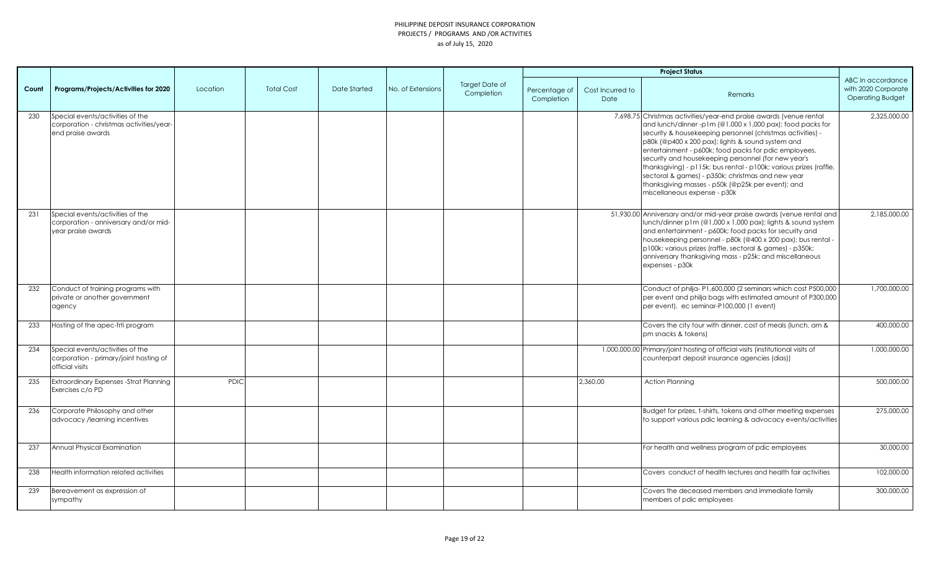|       |                                                                                                   |             |                   |              |                   |                              |                             |                          | <b>Project Status</b>                                                                                                                                                                                                                                                                                                                                                                                                                                                                                                                                                              |                                                                     |
|-------|---------------------------------------------------------------------------------------------------|-------------|-------------------|--------------|-------------------|------------------------------|-----------------------------|--------------------------|------------------------------------------------------------------------------------------------------------------------------------------------------------------------------------------------------------------------------------------------------------------------------------------------------------------------------------------------------------------------------------------------------------------------------------------------------------------------------------------------------------------------------------------------------------------------------------|---------------------------------------------------------------------|
| Count | Programs/Projects/Activities for 2020                                                             | Location    | <b>Total Cost</b> | Date Started | No. of Extensions | Target Date of<br>Completion | Percentage of<br>Completion | Cost Incurred to<br>Date | Remarks                                                                                                                                                                                                                                                                                                                                                                                                                                                                                                                                                                            | ABC In accordance<br>with 2020 Corporate<br><b>Operating Budget</b> |
| 230   | Special events/activities of the<br>corporation - christmas activities/year-<br>end praise awards |             |                   |              |                   |                              |                             |                          | 7,698.75 Christmas activities/year-end praise awards (venue rental<br>and lunch/dinner-p1m (@1,000 x 1,000 pax); food packs for<br>security & housekeeping personnel (christmas activities) -<br>p80k (@p400 x 200 pax); lights & sound system and<br>entertainment - p600k; food packs for pdic employees,<br>security and housekeeping personnel (for new year's<br>thanksgiving) - p115k; bus rental - p100k; various prizes (raffle,<br>sectoral & games) - p350k; christmas and new year<br>thanksgiving masses - p50k (@p25k per event); and<br>miscellaneous expense - p30k | 2,325,000.00                                                        |
| 231   | Special events/activities of the<br>corporation - anniversary and/or mid-<br>year praise awards   |             |                   |              |                   |                              |                             |                          | 51,930.00 Anniversary and/or mid-year praise awards (venue rental and<br>lunch/dinner p1m (@1,000 x 1,000 pax); lights & sound system<br>and entertainment - p600k; food packs for security and<br>housekeeping personnel - p80k (@400 x 200 pax); bus rental -<br>p100k; various prizes (raffle, sectoral & games) - p350k;<br>anniversary thanksgiving mass - p25k; and miscellaneous<br>expenses - p30k                                                                                                                                                                         | 2,185,000.00                                                        |
| 232   | Conduct of training programs with<br>private or another government<br>agency                      |             |                   |              |                   |                              |                             |                          | Conduct of philja-P1,600,000 (2 seminars which cost P500,000<br>per event and philja bags with estimated amount of P300,000<br>per event), ec seminar-P100,000 (1 event)                                                                                                                                                                                                                                                                                                                                                                                                           | 1,700,000.00                                                        |
| 233   | Hosting of the apec-frti program                                                                  |             |                   |              |                   |                              |                             |                          | Covers the city tour with dinner, cost of meals (lunch, am &<br>pm snacks & tokens)                                                                                                                                                                                                                                                                                                                                                                                                                                                                                                | 400,000.00                                                          |
| 234   | Special events/activities of the<br>corporation - primary/joint hosting of<br>official visits     |             |                   |              |                   |                              |                             |                          | 1,000,000.00 Primary/joint hosting of official visits (institutional visits of<br>counterpart deposit insurance agencies (dias))                                                                                                                                                                                                                                                                                                                                                                                                                                                   | 1,000,000.00                                                        |
| 235   | <b>Extraordinary Expenses -Strat Planning</b><br>Exercises c/o PD                                 | <b>PDIC</b> |                   |              |                   |                              |                             | 2.360.00                 | <b>Action Planning</b>                                                                                                                                                                                                                                                                                                                                                                                                                                                                                                                                                             | 500,000.00                                                          |
| 236   | Corporate Philosophy and other<br>advocacy /learning incentives                                   |             |                   |              |                   |                              |                             |                          | Budget for prizes, t-shirts, tokens and other meeting expenses<br>to support various pdic learning & advocacy events/activities                                                                                                                                                                                                                                                                                                                                                                                                                                                    | 275,000.00                                                          |
| 237   | Annual Physical Examination                                                                       |             |                   |              |                   |                              |                             |                          | For health and wellness program of pdic employees                                                                                                                                                                                                                                                                                                                                                                                                                                                                                                                                  | 30,000.00                                                           |
| 238   | Health information related activities                                                             |             |                   |              |                   |                              |                             |                          | Covers conduct of health lectures and health fair activities                                                                                                                                                                                                                                                                                                                                                                                                                                                                                                                       | 102,000.00                                                          |
| 239   | Bereavement as expression of<br>sympathy                                                          |             |                   |              |                   |                              |                             |                          | Covers the deceased members and immediate family<br>members of pdic employees                                                                                                                                                                                                                                                                                                                                                                                                                                                                                                      | 300,000.00                                                          |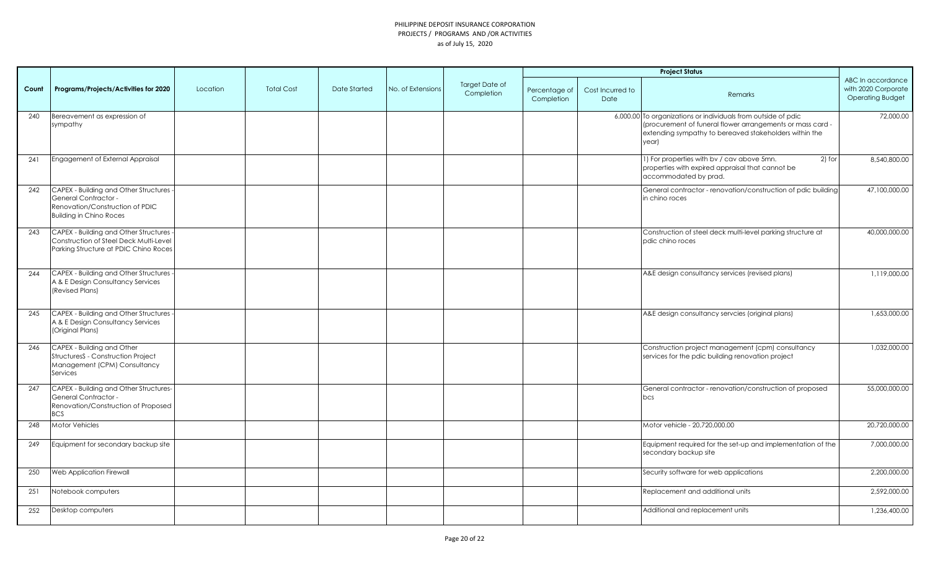|       | <b>Project Status</b>                                                                                                                |          |                   |                     |                   |                              |                             |                          |                                                                                                                                                                                                |                                                                     |
|-------|--------------------------------------------------------------------------------------------------------------------------------------|----------|-------------------|---------------------|-------------------|------------------------------|-----------------------------|--------------------------|------------------------------------------------------------------------------------------------------------------------------------------------------------------------------------------------|---------------------------------------------------------------------|
| Count | Programs/Projects/Activities for 2020                                                                                                | Location | <b>Total Cost</b> | <b>Date Started</b> | No. of Extensions | Target Date of<br>Completion | Percentage of<br>Completion | Cost Incurred to<br>Date | Remarks                                                                                                                                                                                        | ABC In accordance<br>with 2020 Corporate<br><b>Operating Budget</b> |
| 240   | Bereavement as expression of<br>sympathy                                                                                             |          |                   |                     |                   |                              |                             |                          | 6,000.00 To organizations or individuals from outside of pdic<br>(procurement of funeral flower arrangements or mass card -<br>extending sympathy to bereaved stakeholders within the<br>year) | 72,000.00                                                           |
| 241   | Engagement of External Appraisal                                                                                                     |          |                   |                     |                   |                              |                             |                          | $2)$ for<br>1) For properties with bv / cav above 5mn.<br>properties with expired appraisal that cannot be<br>accommodated by prad.                                                            | 8,540,800.00                                                        |
| 242   | CAPEX - Building and Other Structures -<br>General Contractor -<br>Renovation/Construction of PDIC<br><b>Building in Chino Roces</b> |          |                   |                     |                   |                              |                             |                          | General contractor - renovation/construction of pdic building<br>in chino roces                                                                                                                | 47,100,000.00                                                       |
| 243   | CAPEX - Building and Other Structures -<br>Construction of Steel Deck Multi-Level<br>Parking Structure at PDIC Chino Roces           |          |                   |                     |                   |                              |                             |                          | Construction of steel deck multi-level parking structure at<br>pdic chino roces                                                                                                                | 40,000,000.00                                                       |
| 244   | CAPEX - Building and Other Structures<br>A & E Design Consultancy Services<br>(Revised Plans)                                        |          |                   |                     |                   |                              |                             |                          | A&E design consultancy services (revised plans)                                                                                                                                                | 1,119,000.00                                                        |
| 245   | CAPEX - Building and Other Structures<br>A & E Design Consultancy Services<br>(Original Plans)                                       |          |                   |                     |                   |                              |                             |                          | A&E design consultancy servcies (original plans)                                                                                                                                               | 1,653,000.00                                                        |
| 246   | CAPEX - Building and Other<br>StructuresS - Construction Project<br>Management (CPM) Consultancy<br>Services                         |          |                   |                     |                   |                              |                             |                          | Construction project management (cpm) consultancy<br>services for the pdic building renovation project                                                                                         | 1,032,000.00                                                        |
| 247   | CAPEX - Building and Other Structures-<br>General Contractor -<br>Renovation/Construction of Proposed<br><b>BCS</b>                  |          |                   |                     |                   |                              |                             |                          | General contractor - renovation/construction of proposed<br>bcs                                                                                                                                | 55,000,000.00                                                       |
| 248   | Motor Vehicles                                                                                                                       |          |                   |                     |                   |                              |                             |                          | Motor vehicle - 20,720,000.00                                                                                                                                                                  | 20,720,000.00                                                       |
| 249   | Equipment for secondary backup site                                                                                                  |          |                   |                     |                   |                              |                             |                          | Equipment required for the set-up and implementation of the<br>secondary backup site                                                                                                           | 7,000,000.00                                                        |
| 250   | Web Application Firewall                                                                                                             |          |                   |                     |                   |                              |                             |                          | Security software for web applications                                                                                                                                                         | 2,200,000.00                                                        |
| 251   | Notebook computers                                                                                                                   |          |                   |                     |                   |                              |                             |                          | Replacement and additional units                                                                                                                                                               | 2,592,000.00                                                        |
| 252   | Desktop computers                                                                                                                    |          |                   |                     |                   |                              |                             |                          | Additional and replacement units                                                                                                                                                               | 1,236,400.00                                                        |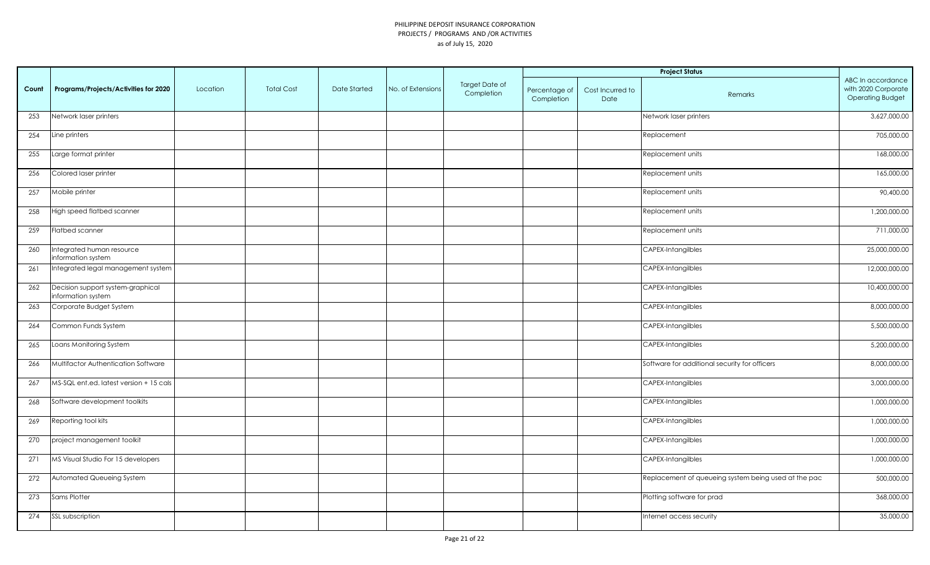|       |                                                         |          |                   |              |                   |                                     | <b>Project Status</b>       |                          |                                                      |                                                                     |
|-------|---------------------------------------------------------|----------|-------------------|--------------|-------------------|-------------------------------------|-----------------------------|--------------------------|------------------------------------------------------|---------------------------------------------------------------------|
| Count | Programs/Projects/Activities for 2020                   | Location | <b>Total Cost</b> | Date Started | No. of Extensions | <b>Target Date of</b><br>Completion | Percentage of<br>Completion | Cost Incurred to<br>Date | <b>Remarks</b>                                       | ABC In accordance<br>with 2020 Corporate<br><b>Operating Budget</b> |
| 253   | Network laser printers                                  |          |                   |              |                   |                                     |                             |                          | Network laser printers                               | 3,627,000.00                                                        |
| 254   | Line printers                                           |          |                   |              |                   |                                     |                             |                          | Replacement                                          | 705,000.00                                                          |
| 255   | Large format printer                                    |          |                   |              |                   |                                     |                             |                          | Replacement units                                    | 168,000.00                                                          |
| 256   | Colored laser printer                                   |          |                   |              |                   |                                     |                             |                          | Replacement units                                    | 165,000.00                                                          |
| 257   | Mobile printer                                          |          |                   |              |                   |                                     |                             |                          | Replacement units                                    | 90,400.00                                                           |
| 258   | High speed flatbed scanner                              |          |                   |              |                   |                                     |                             |                          | Replacement units                                    | 1,200,000.00                                                        |
| 259   | Flatbed scanner                                         |          |                   |              |                   |                                     |                             |                          | Replacement units                                    | 711,000.00                                                          |
| 260   | Integrated human resource<br>information system         |          |                   |              |                   |                                     |                             |                          | CAPEX-Intangilbles                                   | 25,000,000.00                                                       |
| 261   | Integrated legal management system                      |          |                   |              |                   |                                     |                             |                          | CAPEX-Intangilbles                                   | 12,000,000.00                                                       |
| 262   | Decision support system-graphical<br>information system |          |                   |              |                   |                                     |                             |                          | CAPEX-Intangilbles                                   | 10,400,000.00                                                       |
| 263   | Corporate Budget System                                 |          |                   |              |                   |                                     |                             |                          | CAPEX-Intangilbles                                   | 8,000,000.00                                                        |
| 264   | Common Funds System                                     |          |                   |              |                   |                                     |                             |                          | CAPEX-Intangilbles                                   | 5,500,000.00                                                        |
| 265   | Loans Monitoring System                                 |          |                   |              |                   |                                     |                             |                          | CAPEX-Intangilbles                                   | 5,200,000.00                                                        |
| 266   | Multifactor Authentication Software                     |          |                   |              |                   |                                     |                             |                          | Software for additional security for officers        | 8,000,000.00                                                        |
| 267   | MS-SQL ent.ed. latest version + 15 cals                 |          |                   |              |                   |                                     |                             |                          | CAPEX-Intangilbles                                   | 3,000,000.00                                                        |
| 268   | Software development toolkits                           |          |                   |              |                   |                                     |                             |                          | <b>CAPEX-Intangilbles</b>                            | 1,000,000.00                                                        |
| 269   | Reporting tool kits                                     |          |                   |              |                   |                                     |                             |                          | CAPEX-Intangilbles                                   | 1,000,000.00                                                        |
| 270   | project management toolkit                              |          |                   |              |                   |                                     |                             |                          | CAPEX-Intangilbles                                   | 1,000,000.00                                                        |
| 271   | MS Visual Studio For 15 developers                      |          |                   |              |                   |                                     |                             |                          | CAPEX-Intangilbles                                   | 1,000,000.00                                                        |
| 272   | Automated Queueing System                               |          |                   |              |                   |                                     |                             |                          | Replacement of queueing system being used at the pac | 500,000.00                                                          |
| 273   | Sams Plotter                                            |          |                   |              |                   |                                     |                             |                          | Plotting software for prad                           | 368,000.00                                                          |
| 274   | SSL subscription                                        |          |                   |              |                   |                                     |                             |                          | Internet access security                             | 35,000.00                                                           |